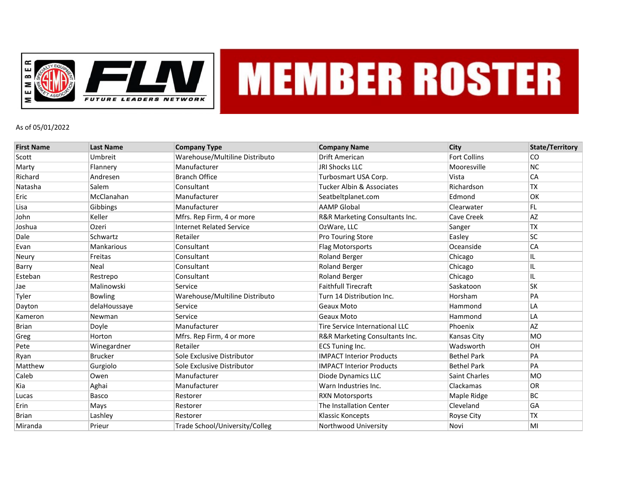

## **MEMBER ROSTER**

## As of 05/01/2022

| <b>First Name</b> | <b>Last Name</b>  | <b>Company Type</b>             | <b>Company Name</b>             | City                 | <b>State/Territory</b> |
|-------------------|-------------------|---------------------------------|---------------------------------|----------------------|------------------------|
| Scott             | Umbreit           | Warehouse/Multiline Distributo  | Drift American                  | <b>Fort Collins</b>  | <b>CO</b>              |
| Marty             | Flannery          | Manufacturer                    | <b>JRI Shocks LLC</b>           | Mooresville          | <b>NC</b>              |
| Richard           | Andresen          | <b>Branch Office</b>            | Turbosmart USA Corp.            | Vista                | <b>CA</b>              |
| Natasha           | Salem             | Consultant                      | Tucker Albin & Associates       | Richardson           | <b>TX</b>              |
| Eric              | McClanahan        | Manufacturer                    | Seatbeltplanet.com              | Edmond               | OK                     |
| Lisa              | Gibbings          | Manufacturer                    | <b>AAMP Global</b>              | Clearwater           | FL.                    |
| John              | Keller            | Mfrs. Rep Firm, 4 or more       | R&R Marketing Consultants Inc.  | Cave Creek           | <b>AZ</b>              |
| Joshua            | Ozeri             | <b>Internet Related Service</b> | OzWare, LLC                     | Sanger               | <b>TX</b>              |
| Dale              | Schwartz          | Retailer                        | Pro Touring Store               | Easley               | SC                     |
| Evan              | <b>Mankarious</b> | Consultant                      | <b>Flag Motorsports</b>         | Oceanside            | <b>CA</b>              |
| Neury             | Freitas           | Consultant                      | <b>Roland Berger</b>            | Chicago              | IL                     |
| Barry             | Neal              | Consultant                      | <b>Roland Berger</b>            | Chicago              | IL                     |
| Esteban           | Restrepo          | Consultant                      | <b>Roland Berger</b>            | Chicago              | IL                     |
| Jae               | Malinowski        | Service                         | <b>Faithfull Tirecraft</b>      | Saskatoon            | <b>SK</b>              |
| Tyler             | <b>Bowling</b>    | Warehouse/Multiline Distributo  | Turn 14 Distribution Inc.       | Horsham              | PA                     |
| Dayton            | delaHoussaye      | Service                         | Geaux Moto                      | Hammond              | LA                     |
| Kameron           | Newman            | Service                         | Geaux Moto                      | Hammond              | LA                     |
| <b>Brian</b>      | Doyle             | Manufacturer                    | Tire Service International LLC  | Phoenix              | AZ                     |
| Greg              | Horton            | Mfrs. Rep Firm, 4 or more       | R&R Marketing Consultants Inc.  | Kansas City          | <b>MO</b>              |
| Pete              | Winegardner       | Retailer                        | <b>ECS Tuning Inc.</b>          | Wadsworth            | OH                     |
| Ryan              | <b>Brucker</b>    | Sole Exclusive Distributor      | <b>IMPACT Interior Products</b> | <b>Bethel Park</b>   | PA                     |
| Matthew           | Gurgiolo          | Sole Exclusive Distributor      | <b>IMPACT Interior Products</b> | <b>Bethel Park</b>   | PA                     |
| Caleb             | Owen              | Manufacturer                    | Diode Dynamics LLC              | <b>Saint Charles</b> | <b>MO</b>              |
| Kia               | Aghai             | Manufacturer                    | Warn Industries Inc.            | Clackamas            | OR                     |
| Lucas             | Basco             | Restorer                        | <b>RXN Motorsports</b>          | Maple Ridge          | <b>BC</b>              |
| Erin              | Mays              | Restorer                        | The Installation Center         | Cleveland            | GA                     |
| <b>Brian</b>      | Lashley           | Restorer                        | <b>Klassic Koncepts</b>         | Royse City           | <b>TX</b>              |
| Miranda           | Prieur            | Trade School/University/Colleg  | Northwood University            | Novi                 | MI                     |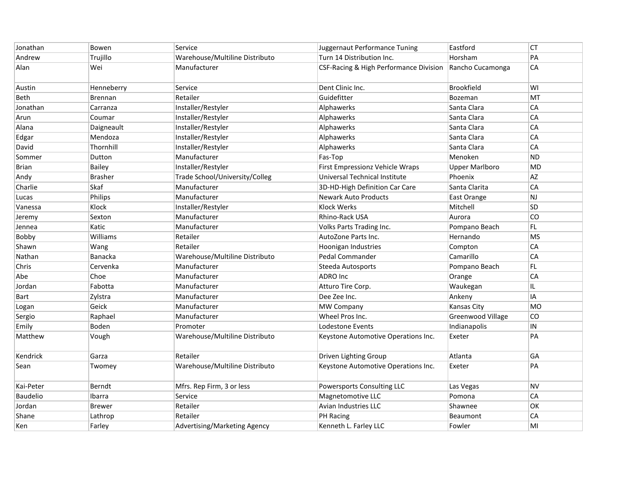| Jonathan        | Bowen          | Service                        | Juggernaut Performance Tuning          | Eastford                 | <b>CT</b>  |
|-----------------|----------------|--------------------------------|----------------------------------------|--------------------------|------------|
| Andrew          | Trujillo       | Warehouse/Multiline Distributo | Turn 14 Distribution Inc.              | Horsham                  | PA         |
| Alan            | Wei            | Manufacturer                   | CSF-Racing & High Performance Division | Rancho Cucamonga         | ${\sf CA}$ |
| Austin          | Henneberry     | Service                        | Dent Clinic Inc.                       | <b>Brookfield</b>        | WI         |
| Beth            | Brennan        | Retailer                       | Guidefitter                            | Bozeman                  | MT         |
| Jonathan        | Carranza       | Installer/Restyler             | Alphawerks                             | Santa Clara              | CA         |
| Arun            | Coumar         | Installer/Restyler             | Alphawerks                             | Santa Clara              | СA         |
| Alana           | Daigneault     | Installer/Restyler             | Alphawerks                             | Santa Clara              | CA         |
| Edgar           | Mendoza        | Installer/Restyler             | Alphawerks                             | Santa Clara              | CA         |
| David           | Thornhill      | Installer/Restyler             | Alphawerks                             | Santa Clara              | CA         |
| Sommer          | Dutton         | Manufacturer                   | Fas-Top                                | Menoken                  | <b>ND</b>  |
| <b>Brian</b>    | <b>Bailey</b>  | Installer/Restyler             | First Empressionz Vehicle Wraps        | <b>Upper Marlboro</b>    | <b>MD</b>  |
| Andy            | <b>Brasher</b> | Trade School/University/Colleg | Universal Technical Institute          | Phoenix                  | <b>AZ</b>  |
| Charlie         | Skaf           | Manufacturer                   | 3D-HD-High Definition Car Care         | Santa Clarita            | CA         |
| Lucas           | Philips        | Manufacturer                   | <b>Newark Auto Products</b>            | East Orange              | NJ         |
| Vanessa         | Klock          | Installer/Restyler             | Klock Werks                            | Mitchell                 | SD         |
| Jeremy          | Sexton         | Manufacturer                   | Rhino-Rack USA                         | Aurora                   | CO         |
| Jennea          | Katic          | Manufacturer                   | <b>Volks Parts Trading Inc.</b>        | Pompano Beach            | FL.        |
| Bobby           | Williams       | Retailer                       | AutoZone Parts Inc.                    | Hernando                 | <b>MS</b>  |
| Shawn           | Wang           | Retailer                       | Hoonigan Industries                    | Compton                  | CA         |
| Nathan          | <b>Banacka</b> | Warehouse/Multiline Distributo | Pedal Commander                        | Camarillo                | CA         |
| Chris           | Cervenka       | Manufacturer                   | Steeda Autosports                      | Pompano Beach            | FL         |
| Abe             | Choe           | Manufacturer                   | <b>ADRO</b> Inc                        | Orange                   | CA         |
| Jordan          | Fabotta        | Manufacturer                   | Atturo Tire Corp.                      | Waukegan                 | IL.        |
| Bart            | Zylstra        | Manufacturer                   | Dee Zee Inc.                           | Ankeny                   | IA         |
| Logan           | Geick          | Manufacturer                   | <b>MW Company</b>                      | <b>Kansas City</b>       | <b>MO</b>  |
| Sergio          | Raphael        | Manufacturer                   | Wheel Pros Inc.                        | <b>Greenwood Village</b> | CO         |
| Emily           | Boden          | Promoter                       | Lodestone Events                       | Indianapolis             | ${\sf IN}$ |
| Matthew         | Vough          | Warehouse/Multiline Distributo | Keystone Automotive Operations Inc.    | Exeter                   | PA         |
| Kendrick        | Garza          | Retailer                       | Driven Lighting Group                  | Atlanta                  | GA         |
| Sean            | Twomey         | Warehouse/Multiline Distributo | Keystone Automotive Operations Inc.    | Exeter                   | PA         |
| Kai-Peter       | Berndt         | Mfrs. Rep Firm, 3 or less      | Powersports Consulting LLC             | Las Vegas                | <b>NV</b>  |
| <b>Baudelio</b> | Ibarra         | Service                        | Magnetomotive LLC                      | Pomona                   | CA         |
| Jordan          | <b>Brewer</b>  | Retailer                       | Avian Industries LLC                   | Shawnee                  | OK         |
| Shane           | Lathrop        | Retailer                       | <b>PH Racing</b>                       | Beaumont                 | CA         |
| Ken             | Farley         | Advertising/Marketing Agency   | Kenneth L. Farley LLC                  | Fowler                   | MI         |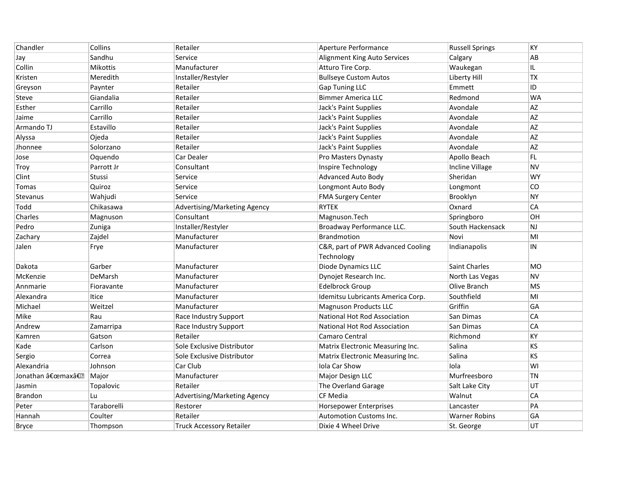| Chandler                 | Collins         | Retailer                        | Aperture Performance              | <b>Russell Springs</b> | KY        |
|--------------------------|-----------------|---------------------------------|-----------------------------------|------------------------|-----------|
| Jay                      | Sandhu          | Service                         | Alignment King Auto Services      | Calgary                | AB        |
| Collin                   | <b>Mikottis</b> | Manufacturer                    | Atturo Tire Corp.                 | Waukegan               | IL.       |
| Kristen                  | Meredith        | Installer/Restyler              | <b>Bullseye Custom Autos</b>      | Liberty Hill           | <b>TX</b> |
| Greyson                  | Paynter         | Retailer                        | <b>Gap Tuning LLC</b>             | Emmett                 | ID        |
| Steve                    | Giandalia       | Retailer                        | <b>Bimmer America LLC</b>         | Redmond                | <b>WA</b> |
| Esther                   | Carrillo        | Retailer                        | Jack's Paint Supplies             | Avondale               | AZ        |
| Jaime                    | Carrillo        | Retailer                        | Jack's Paint Supplies             | Avondale               | AZ        |
| Armando TJ               | Estavillo       | Retailer                        | Jack's Paint Supplies             | Avondale               | AZ        |
| Alyssa                   | Ojeda           | Retailer                        | Jack's Paint Supplies             | Avondale               | <b>AZ</b> |
| Jhonnee                  | Solorzano       | Retailer                        | Jack's Paint Supplies             | Avondale               | <b>AZ</b> |
| Jose                     | Oquendo         | Car Dealer                      | Pro Masters Dynasty               | Apollo Beach           | FL.       |
| Troy                     | Parrott Jr      | Consultant                      | Inspire Technology                | Incline Village        | <b>NV</b> |
| Clint                    | Stussi          | Service                         | Advanced Auto Body                | Sheridan               | <b>WY</b> |
| Tomas                    | Quiroz          | Service                         | Longmont Auto Body                | Longmont               | CO        |
| Stevanus                 | Wahjudi         | Service                         | <b>FMA Surgery Center</b>         | Brooklyn               | <b>NY</b> |
| Todd                     | Chikasawa       | Advertising/Marketing Agency    | <b>RYTEK</b>                      | Oxnard                 | CA        |
| Charles                  | Magnuson        | Consultant                      | Magnuson.Tech                     | Springboro             | OН        |
| Pedro                    | Zuniga          | Installer/Restyler              | Broadway Performance LLC.         | South Hackensack       | <b>NJ</b> |
| Zachary                  | Zajdel          | Manufacturer                    | <b>Brandmotion</b>                | Novi                   | MI        |
| Jalen                    | Frye            | Manufacturer                    | C&R, part of PWR Advanced Cooling | Indianapolis           | IN        |
|                          |                 |                                 | Technology                        |                        |           |
| Dakota                   | Garber          | Manufacturer                    | Diode Dynamics LLC                | Saint Charles          | <b>MO</b> |
| McKenzie                 | DeMarsh         | Manufacturer                    | Dynojet Research Inc.             | North Las Vegas        | <b>NV</b> |
| Annmarie                 | Fioravante      | Manufacturer                    | <b>Edelbrock Group</b>            | Olive Branch           | MS        |
| Alexandra                | Itice           | Manufacturer                    | Idemitsu Lubricants America Corp. | Southfield             | MI        |
| Michael                  | Weitzel         | Manufacturer                    | <b>Magnuson Products LLC</b>      | Griffin                | GA        |
| Mike                     | Rau             | Race Industry Support           | National Hot Rod Association      | San Dimas              | CA        |
| Andrew                   | Zamarripa       | Race Industry Support           | National Hot Rod Association      | San Dimas              | CA        |
| Kamren                   | Gatson          | Retailer                        | Camaro Central                    | Richmond               | KY        |
| Kade                     | Carlson         | Sole Exclusive Distributor      | Matrix Electronic Measuring Inc.  | Salina                 | KS        |
| Sergio                   | Correa          | Sole Exclusive Distributor      | Matrix Electronic Measuring Inc.  | Salina                 | <b>KS</b> |
| Alexandria               | Johnson         | Car Club                        | Iola Car Show                     | Iola                   | WI        |
| Jonathan "maxâ€ <b>?</b> | Major           | Manufacturer                    | Major Design LLC                  | Murfreesboro           | <b>TN</b> |
| Jasmin                   | Topalovic       | Retailer                        | The Overland Garage               | Salt Lake City         | UT        |
| Brandon                  | Lu              | Advertising/Marketing Agency    | <b>CF Media</b>                   | Walnut                 | CA        |
| Peter                    | Taraborelli     | Restorer                        | <b>Horsepower Enterprises</b>     | Lancaster              | PA        |
| Hannah                   | Coulter         | Retailer                        | <b>Automotion Customs Inc.</b>    | <b>Warner Robins</b>   | GA        |
| <b>Bryce</b>             | Thompson        | <b>Truck Accessory Retailer</b> | Dixie 4 Wheel Drive               | St. George             | UT        |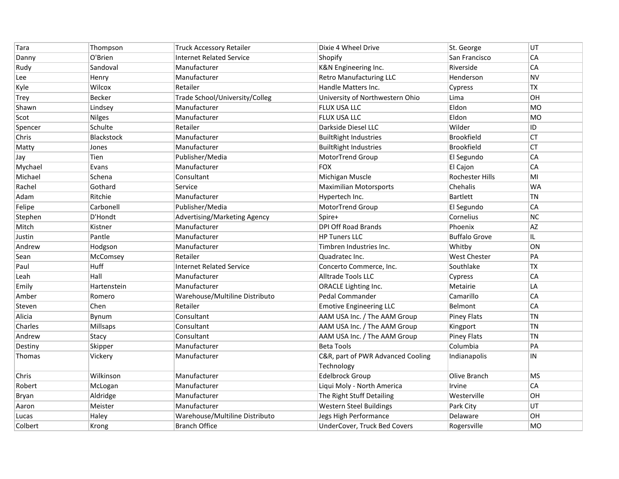| Tara    | Thompson          | <b>Truck Accessory Retailer</b> | Dixie 4 Wheel Drive               | St. George           | UT        |
|---------|-------------------|---------------------------------|-----------------------------------|----------------------|-----------|
| Danny   | O'Brien           | <b>Internet Related Service</b> | Shopify                           | San Francisco        | CA        |
| Rudy    | Sandoval          | Manufacturer                    | K&N Engineering Inc.              | Riverside            | CA        |
| Lee     | Henry             | Manufacturer                    | <b>Retro Manufacturing LLC</b>    | Henderson            | <b>NV</b> |
| Kyle    | Wilcox            | Retailer                        | Handle Matters Inc.               | Cypress              | <b>TX</b> |
| Trey    | Becker            | Trade School/University/Colleg  | University of Northwestern Ohio   | Lima                 | OH        |
| Shawn   | Lindsey           | Manufacturer                    | <b>FLUX USA LLC</b>               | Eldon                | <b>MO</b> |
| Scot    | <b>Nilges</b>     | Manufacturer                    | <b>FLUX USA LLC</b>               | Eldon                | MO        |
| Spencer | Schulte           | Retailer                        | Darkside Diesel LLC               | Wilder               | ID        |
| Chris   | <b>Blackstock</b> | Manufacturer                    | <b>BuiltRight Industries</b>      | <b>Brookfield</b>    | CT        |
| Matty   | Jones             | Manufacturer                    | <b>BuiltRight Industries</b>      | <b>Brookfield</b>    | CT        |
| Jay     | Tien              | Publisher/Media                 | MotorTrend Group                  | El Segundo           | CA        |
| Mychael | Evans             | Manufacturer                    | FOX                               | El Cajon             | CA        |
| Michael | Schena            | Consultant                      | Michigan Muscle                   | Rochester Hills      | MI        |
| Rachel  | Gothard           | Service                         | <b>Maximilian Motorsports</b>     | Chehalis             | WA        |
| Adam    | Ritchie           | Manufacturer                    | Hypertech Inc.                    | <b>Bartlett</b>      | <b>TN</b> |
| Felipe  | Carbonell         | Publisher/Media                 | MotorTrend Group                  | El Segundo           | CA        |
| Stephen | D'Hondt           | Advertising/Marketing Agency    | Spire+                            | Cornelius            | <b>NC</b> |
| Mitch   | Kistner           | Manufacturer                    | <b>DPI Off Road Brands</b>        | Phoenix              | AZ        |
| Justin  | Pantle            | Manufacturer                    | <b>HP Tuners LLC</b>              | <b>Buffalo Grove</b> | IL.       |
| Andrew  | Hodgson           | Manufacturer                    | Timbren Industries Inc.           | Whitby               | ON        |
| Sean    | McComsey          | Retailer                        | Quadratec Inc.                    | <b>West Chester</b>  | PA        |
| Paul    | Huff              | <b>Internet Related Service</b> | Concerto Commerce, Inc.           | Southlake            | TX        |
| Leah    | Hall              | Manufacturer                    | Alltrade Tools LLC                | Cypress              | CA        |
| Emily   | Hartenstein       | Manufacturer                    | <b>ORACLE Lighting Inc.</b>       | Metairie             | LA        |
| Amber   | Romero            | Warehouse/Multiline Distributo  | Pedal Commander                   | Camarillo            | CA        |
| Steven  | Chen              | Retailer                        | <b>Emotive Engineering LLC</b>    | Belmont              | CA        |
| Alicia  | Bynum             | Consultant                      | AAM USA Inc. / The AAM Group      | <b>Piney Flats</b>   | <b>TN</b> |
| Charles | Millsaps          | Consultant                      | AAM USA Inc. / The AAM Group      | Kingport             | <b>TN</b> |
| Andrew  | Stacy             | Consultant                      | AAM USA Inc. / The AAM Group      | <b>Piney Flats</b>   | <b>TN</b> |
| Destiny | Skipper           | Manufacturer                    | <b>Beta Tools</b>                 | Columbia             | PA        |
| Thomas  | Vickery           | Manufacturer                    | C&R, part of PWR Advanced Cooling | Indianapolis         | IN        |
|         |                   |                                 | Technology                        |                      |           |
| Chris   | Wilkinson         | Manufacturer                    | <b>Edelbrock Group</b>            | Olive Branch         | <b>MS</b> |
| Robert  | McLogan           | Manufacturer                    | Liqui Moly - North America        | Irvine               | CA        |
| Bryan   | Aldridge          | Manufacturer                    | The Right Stuff Detailing         | Westerville          | OН        |
| Aaron   | Meister           | Manufacturer                    | Western Steel Buildings           | Park City            | UT        |
| Lucas   | Haley             | Warehouse/Multiline Distributo  | Jegs High Performance             | Delaware             | OН        |
| Colbert | Krong             | <b>Branch Office</b>            | UnderCover, Truck Bed Covers      | Rogersville          | MO        |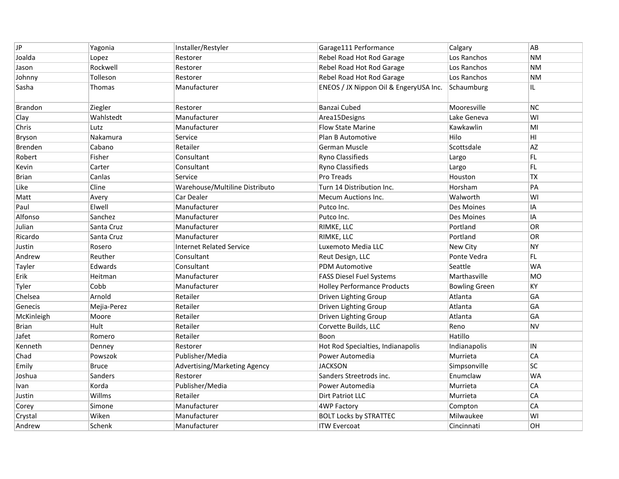| <b>JP</b>      | Yagonia      | Installer/Restyler              | Garage111 Performance                  | Calgary              | AB              |
|----------------|--------------|---------------------------------|----------------------------------------|----------------------|-----------------|
| Joalda         | Lopez        | Restorer                        | Rebel Road Hot Rod Garage              | Los Ranchos          | ΝM              |
| Jason          | Rockwell     | Restorer                        | Rebel Road Hot Rod Garage              | Los Ranchos          | <b>NM</b>       |
| Johnny         | Tolleson     | Restorer                        | Rebel Road Hot Rod Garage              | Los Ranchos          | <b>NM</b>       |
| Sasha          | Thomas       | Manufacturer                    | ENEOS / JX Nippon Oil & EngeryUSA Inc. | Schaumburg           | IL              |
| <b>Brandon</b> | Ziegler      | Restorer                        | Banzai Cubed                           | Mooresville          | <b>NC</b>       |
| Clay           | Wahlstedt    | Manufacturer                    | Area15Designs                          | Lake Geneva          | WI              |
| Chris          | Lutz         | Manufacturer                    | <b>Flow State Marine</b>               | Kawkawlin            | MI              |
| Bryson         | Nakamura     | Service                         | Plan B Automotive                      | Hilo                 | H <sub>II</sub> |
| Brenden        | Cabano       | Retailer                        | <b>German Muscle</b>                   | Scottsdale           | <b>AZ</b>       |
| Robert         | Fisher       | Consultant                      | Ryno Classifieds                       | Largo                | FL.             |
| Kevin          | Carter       | Consultant                      | Ryno Classifieds                       | Largo                | FL              |
| Brian          | Canlas       | Service                         | Pro Treads                             | Houston              | <b>TX</b>       |
| Like           | Cline        | Warehouse/Multiline Distributo  | Turn 14 Distribution Inc.              | Horsham              | PA              |
| Matt           | Avery        | Car Dealer                      | <b>Mecum Auctions Inc.</b>             | Walworth             | WI              |
| Paul           | Elwell       | Manufacturer                    | Putco Inc.                             | Des Moines           | IA              |
| Alfonso        | Sanchez      | Manufacturer                    | Putco Inc.                             | Des Moines           | IA              |
| Julian         | Santa Cruz   | Manufacturer                    | RIMKE, LLC                             | Portland             | <b>OR</b>       |
| Ricardo        | Santa Cruz   | Manufacturer                    | RIMKE, LLC                             | Portland             | OR              |
| Justin         | Rosero       | <b>Internet Related Service</b> | Luxemoto Media LLC                     | New City             | <b>NY</b>       |
| Andrew         | Reuther      | Consultant                      | Reut Design, LLC                       | Ponte Vedra          | FL.             |
| Tayler         | Edwards      | Consultant                      | <b>PDM Automotive</b>                  | Seattle              | <b>WA</b>       |
| Erik           | Heitman      | Manufacturer                    | <b>FASS Diesel Fuel Systems</b>        | Marthasville         | <b>MO</b>       |
| Tyler          | Cobb         | Manufacturer                    | <b>Holley Performance Products</b>     | <b>Bowling Green</b> | KY              |
| Chelsea        | Arnold       | Retailer                        | Driven Lighting Group                  | Atlanta              | GA              |
| Genecis        | Mejia-Perez  | Retailer                        | Driven Lighting Group                  | Atlanta              | GA              |
| McKinleigh     | Moore        | Retailer                        | Driven Lighting Group                  | Atlanta              | GA              |
| <b>Brian</b>   | Hult         | Retailer                        | Corvette Builds, LLC                   | Reno                 | <b>NV</b>       |
| Jafet          | Romero       | Retailer                        | Boon                                   | Hatillo              |                 |
| Kenneth        | Denney       | Restorer                        | Hot Rod Specialties, Indianapolis      | Indianapolis         | IN              |
| Chad           | Powszok      | Publisher/Media                 | Power Automedia                        | Murrieta             | CA              |
| Emily          | <b>Bruce</b> | Advertising/Marketing Agency    | <b>JACKSON</b>                         | Simpsonville         | SC              |
| Joshua         | Sanders      | Restorer                        | Sanders Streetrods inc.                | Enumclaw             | <b>WA</b>       |
| Ivan           | Korda        | Publisher/Media                 | Power Automedia                        | Murrieta             | CA              |
| Justin         | Willms       | Retailer                        | Dirt Patriot LLC                       | Murrieta             | CA              |
| Corey          | Simone       | Manufacturer                    | <b>4WP Factory</b>                     | Compton              | CA              |
| Crystal        | Wiken        | Manufacturer                    | <b>BOLT Locks by STRATTEC</b>          | Milwaukee            | WI              |
| Andrew         | Schenk       | Manufacturer                    | <b>ITW Evercoat</b>                    | Cincinnati           | OH              |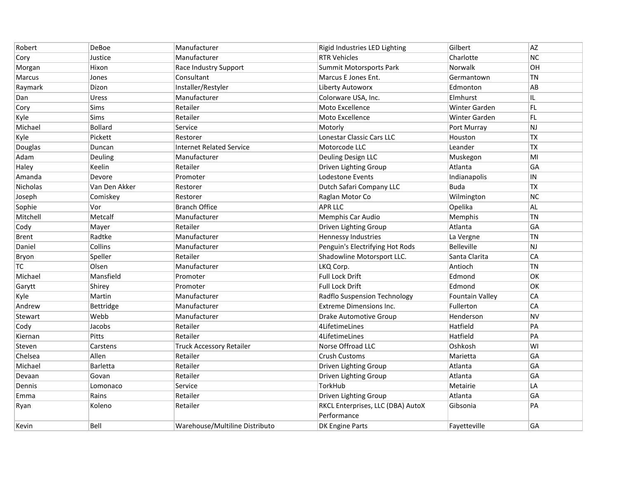| Robert          | DeBoe           | Manufacturer                    | Rigid Industries LED Lighting     | Gilbert                | <b>AZ</b>     |
|-----------------|-----------------|---------------------------------|-----------------------------------|------------------------|---------------|
| Cory            | Justice         | Manufacturer                    | <b>RTR Vehicles</b>               | Charlotte              | <b>NC</b>     |
| Morgan          | Hixon           | Race Industry Support           | Summit Motorsports Park           | Norwalk                | OH            |
| Marcus          | Jones           | Consultant                      | Marcus E Jones Ent.               | Germantown             | <b>TN</b>     |
| Raymark         | Dizon           | Installer/Restyler              | Liberty Autoworx                  | Edmonton               | AB            |
| Dan             | Uress           | Manufacturer                    | Colorware USA, Inc.               | Elmhurst               | IL.           |
| Cory            | Sims            | Retailer                        | Moto Excellence                   | <b>Winter Garden</b>   | FL            |
| Kyle            | Sims            | Retailer                        | Moto Excellence                   | Winter Garden          | FL.           |
| Michael         | <b>Bollard</b>  | Service                         | Motorly                           | Port Murray            | $\mathsf{NJ}$ |
| Kyle            | Pickett         | Restorer                        | Lonestar Classic Cars LLC         | Houston                | <b>TX</b>     |
| Douglas         | Duncan          | <b>Internet Related Service</b> | Motorcode LLC                     | Leander                | <b>TX</b>     |
| Adam            | Deuling         | Manufacturer                    | Deuling Design LLC                | Muskegon               | MI            |
| Haley           | Keelin          | Retailer                        | Driven Lighting Group             | Atlanta                | GA            |
| Amanda          | Devore          | Promoter                        | Lodestone Events                  | Indianapolis           | ${\sf IN}$    |
| <b>Nicholas</b> | Van Den Akker   | Restorer                        | Dutch Safari Company LLC          | <b>Buda</b>            | TX            |
| Joseph          | Comiskey        | Restorer                        | Raglan Motor Co                   | Wilmington             | <b>NC</b>     |
| Sophie          | Vor             | <b>Branch Office</b>            | <b>APR LLC</b>                    | Opelika                | AL.           |
| Mitchell        | Metcalf         | Manufacturer                    | Memphis Car Audio                 | Memphis                | TN            |
| Cody            | Mayer           | Retailer                        | Driven Lighting Group             | Atlanta                | GA            |
| Brent           | Radtke          | Manufacturer                    | Hennessy Industries               | La Vergne              | <b>TN</b>     |
| Daniel          | Collins         | Manufacturer                    | Penguin's Electrifying Hot Rods   | Belleville             | <b>NJ</b>     |
| Bryon           | Speller         | Retailer                        | Shadowline Motorsport LLC.        | Santa Clarita          | CA            |
| ТC              | Olsen           | Manufacturer                    | LKQ Corp.                         | Antioch                | <b>TN</b>     |
| Michael         | Mansfield       | Promoter                        | Full Lock Drift                   | Edmond                 | OK            |
| Garytt          | Shirey          | Promoter                        | <b>Full Lock Drift</b>            | Edmond                 | ОK            |
| Kyle            | Martin          | Manufacturer                    | Radflo Suspension Technology      | <b>Fountain Valley</b> | CA            |
| Andrew          | Bettridge       | Manufacturer                    | <b>Extreme Dimensions Inc.</b>    | Fullerton              | CA            |
| Stewart         | Webb            | Manufacturer                    | <b>Drake Automotive Group</b>     | Henderson              | <b>NV</b>     |
| Cody            | Jacobs          | Retailer                        | 4LifetimeLines                    | Hatfield               | PA            |
| Kiernan         | <b>Pitts</b>    | Retailer                        | 4LifetimeLines                    | Hatfield               | PA            |
| Steven          | Carstens        | <b>Truck Accessory Retailer</b> | Norse Offroad LLC                 | Oshkosh                | WI            |
| Chelsea         | Allen           | Retailer                        | <b>Crush Customs</b>              | Marietta               | GA            |
| Michael         | <b>Barletta</b> | Retailer                        | Driven Lighting Group             | Atlanta                | GA            |
| Devaan          | Govan           | Retailer                        | Driven Lighting Group             | Atlanta                | GA            |
| Dennis          | Lomonaco        | Service                         | TorkHub                           | Metairie               | LA            |
| Emma            | Rains           | Retailer                        | Driven Lighting Group             | Atlanta                | GA            |
| Ryan            | Koleno          | Retailer                        | RKCL Enterprises, LLC (DBA) AutoX | Gibsonia               | PA            |
|                 |                 |                                 | Performance                       |                        |               |
| Kevin           | Bell            | Warehouse/Multiline Distributo  | <b>DK Engine Parts</b>            | Fayetteville           | GA            |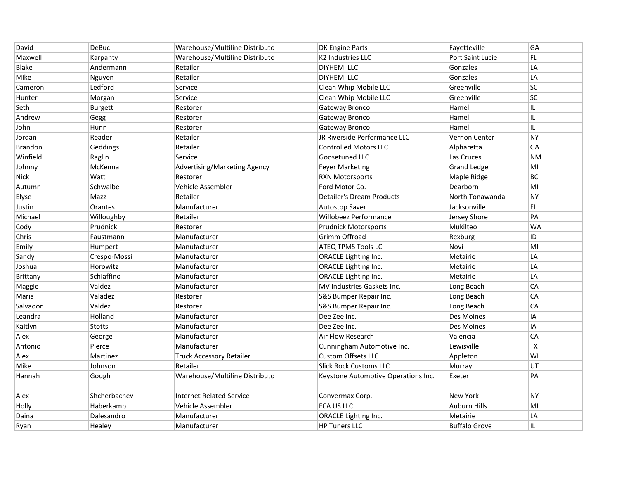| David          | DeBuc          | Warehouse/Multiline Distributo  | <b>DK Engine Parts</b>              | Fayetteville         | GA        |
|----------------|----------------|---------------------------------|-------------------------------------|----------------------|-----------|
| Maxwell        | Karpanty       | Warehouse/Multiline Distributo  | K2 Industries LLC                   | Port Saint Lucie     | FL.       |
| Blake          | Andermann      | Retailer                        | <b>DIYHEMI LLC</b>                  | Gonzales             | LA        |
| Mike           | Nguyen         | Retailer                        | <b>DIYHEMI LLC</b>                  | Gonzales             | LA        |
| Cameron        | Ledford        | Service                         | Clean Whip Mobile LLC               | Greenville           | <b>SC</b> |
| Hunter         | Morgan         | Service                         | Clean Whip Mobile LLC               | Greenville           | <b>SC</b> |
| Seth           | <b>Burgett</b> | Restorer                        | Gateway Bronco                      | Hamel                | IL        |
| Andrew         | Gegg           | Restorer                        | Gateway Bronco                      | Hamel                | IL        |
| John           | Hunn           | Restorer                        | <b>Gateway Bronco</b>               | Hamel                | IL.       |
| Jordan         | Reader         | Retailer                        | JR Riverside Performance LLC        | Vernon Center        | <b>NY</b> |
| <b>Brandon</b> | Geddings       | Retailer                        | <b>Controlled Motors LLC</b>        | Alpharetta           | GA        |
| Winfield       | Raglin         | Service                         | Goosetuned LLC                      | Las Cruces           | <b>NM</b> |
| Johnny         | McKenna        | Advertising/Marketing Agency    | <b>Feyer Marketing</b>              | <b>Grand Ledge</b>   | MI        |
| <b>Nick</b>    | Watt           | Restorer                        | <b>RXN Motorsports</b>              | Maple Ridge          | BC        |
| Autumn         | Schwalbe       | Vehicle Assembler               | Ford Motor Co.                      | Dearborn             | MI        |
| Elyse          | Mazz           | Retailer                        | <b>Detailer's Dream Products</b>    | North Tonawanda      | <b>NY</b> |
| Justin         | Orantes        | Manufacturer                    | Autostop Saver                      | Jacksonville         | FL        |
| Michael        | Willoughby     | Retailer                        | Willobeez Performance               | Jersey Shore         | PA        |
| Cody           | Prudnick       | Restorer                        | <b>Prudnick Motorsports</b>         | Mukilteo             | <b>WA</b> |
| Chris          | Faustmann      | Manufacturer                    | Grimm Offroad                       | Rexburg              | ID        |
| Emily          | Humpert        | Manufacturer                    | <b>ATEQ TPMS Tools LC</b>           | Novi                 | MI        |
| Sandy          | Crespo-Mossi   | Manufacturer                    | <b>ORACLE Lighting Inc.</b>         | Metairie             | LA        |
| Joshua         | Horowitz       | Manufacturer                    | <b>ORACLE Lighting Inc.</b>         | Metairie             | LA        |
| Brittany       | Schiaffino     | Manufacturer                    | <b>ORACLE Lighting Inc.</b>         | Metairie             | LA        |
| Maggie         | Valdez         | Manufacturer                    | MV Industries Gaskets Inc.          | Long Beach           | CA        |
| Maria          | Valadez        | Restorer                        | S&S Bumper Repair Inc.              | Long Beach           | CA        |
| Salvador       | Valdez         | Restorer                        | S&S Bumper Repair Inc.              | Long Beach           | CA        |
| Leandra        | Holland        | Manufacturer                    | Dee Zee Inc.                        | Des Moines           | ΙA        |
| Kaitlyn        | <b>Stotts</b>  | Manufacturer                    | Dee Zee Inc.                        | Des Moines           | IA        |
| Alex           | George         | Manufacturer                    | Air Flow Research                   | Valencia             | CA        |
| Antonio        | Pierce         | Manufacturer                    | Cunningham Automotive Inc.          | Lewisville           | <b>TX</b> |
| Alex           | Martinez       | <b>Truck Accessory Retailer</b> | <b>Custom Offsets LLC</b>           | Appleton             | WI        |
| Mike           | Johnson        | Retailer                        | <b>Slick Rock Customs LLC</b>       | Murray               | UT        |
| Hannah         | Gough          | Warehouse/Multiline Distributo  | Keystone Automotive Operations Inc. | Exeter               | PA        |
| Alex           | Shcherbachev   | <b>Internet Related Service</b> | Convermax Corp.                     | New York             | <b>NY</b> |
| Holly          | Haberkamp      | Vehicle Assembler               | FCA US LLC                          | <b>Auburn Hills</b>  | MI        |
| Daina          | Dalesandro     | Manufacturer                    | ORACLE Lighting Inc.                | Metairie             | LA        |
| Ryan           | Healey         | Manufacturer                    | <b>HP Tuners LLC</b>                | <b>Buffalo Grove</b> | IL.       |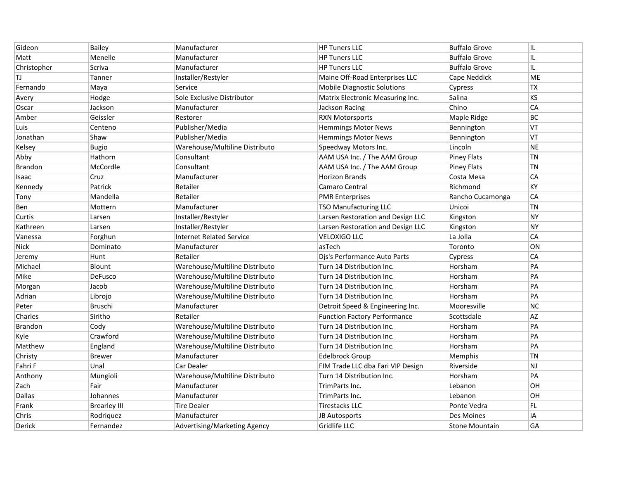| Gideon         | <b>Bailey</b>       | Manufacturer                    | <b>HP Tuners LLC</b>                | <b>Buffalo Grove</b>  | IL        |
|----------------|---------------------|---------------------------------|-------------------------------------|-----------------------|-----------|
| Matt           | Menelle             | Manufacturer                    | <b>HP Tuners LLC</b>                | <b>Buffalo Grove</b>  | IL        |
| Christopher    | Scriva              | Manufacturer                    | <b>HP Tuners LLC</b>                | <b>Buffalo Grove</b>  | IL.       |
| TJ             | Tanner              | Installer/Restyler              | Maine Off-Road Enterprises LLC      | Cape Neddick          | ME        |
| Fernando       | Maya                | Service                         | <b>Mobile Diagnostic Solutions</b>  | Cypress               | <b>TX</b> |
| Avery          | Hodge               | Sole Exclusive Distributor      | Matrix Electronic Measuring Inc.    | Salina                | <b>KS</b> |
| Oscar          | Jackson             | Manufacturer                    | Jackson Racing                      | Chino                 | CA        |
| Amber          | Geissler            | Restorer                        | <b>RXN Motorsports</b>              | Maple Ridge           | BC.       |
| Luis           | Centeno             | Publisher/Media                 | <b>Hemmings Motor News</b>          | Bennington            | VT        |
| Jonathan       | Shaw                | Publisher/Media                 | <b>Hemmings Motor News</b>          | Bennington            | VT        |
| Kelsey         | <b>Bugio</b>        | Warehouse/Multiline Distributo  | Speedway Motors Inc.                | Lincoln               | NE        |
| Abby           | Hathorn             | Consultant                      | AAM USA Inc. / The AAM Group        | <b>Piney Flats</b>    | <b>TN</b> |
| <b>Brandon</b> | McCordle            | Consultant                      | AAM USA Inc. / The AAM Group        | <b>Piney Flats</b>    | <b>TN</b> |
| Isaac          | Cruz                | Manufacturer                    | Horizon Brands                      | Costa Mesa            | CA        |
| Kennedy        | Patrick             | Retailer                        | Camaro Central                      | Richmond              | KY        |
| Tony           | Mandella            | Retailer                        | <b>PMR Enterprises</b>              | Rancho Cucamonga      | CA        |
| Ben            | Mottern             | Manufacturer                    | <b>TSO Manufacturing LLC</b>        | Unicoi                | TN        |
| Curtis         | Larsen              | Installer/Restyler              | Larsen Restoration and Design LLC   | Kingston              | <b>NY</b> |
| Kathreen       | Larsen              | Installer/Restyler              | Larsen Restoration and Design LLC   | Kingston              | <b>NY</b> |
| Vanessa        | Forghun             | <b>Internet Related Service</b> | <b>VELOXIGO LLC</b>                 | La Jolla              | CA        |
| <b>Nick</b>    | Dominato            | Manufacturer                    | asTech                              | Toronto               | ON        |
| Jeremy         | Hunt                | Retailer                        | Djs's Performance Auto Parts        | Cypress               | CA        |
| Michael        | Blount              | Warehouse/Multiline Distributo  | Turn 14 Distribution Inc.           | Horsham               | PA        |
| Mike           | DeFusco             | Warehouse/Multiline Distributo  | Turn 14 Distribution Inc.           | Horsham               | PA        |
| Morgan         | Jacob               | Warehouse/Multiline Distributo  | Turn 14 Distribution Inc.           | Horsham               | PA        |
| Adrian         | Librojo             | Warehouse/Multiline Distributo  | Turn 14 Distribution Inc.           | Horsham               | PA        |
| Peter          | Bruschi             | Manufacturer                    | Detroit Speed & Engineering Inc.    | Mooresville           | <b>NC</b> |
| Charles        | Siritho             | Retailer                        | <b>Function Factory Performance</b> | Scottsdale            | AZ        |
| <b>Brandon</b> | Cody                | Warehouse/Multiline Distributo  | Turn 14 Distribution Inc.           | Horsham               | PA        |
| Kyle           | Crawford            | Warehouse/Multiline Distributo  | Turn 14 Distribution Inc.           | Horsham               | PA        |
| Matthew        | England             | Warehouse/Multiline Distributo  | Turn 14 Distribution Inc.           | Horsham               | PA        |
| Christy        | <b>Brewer</b>       | Manufacturer                    | Edelbrock Group                     | Memphis               | TN        |
| Fahri F        | Unal                | Car Dealer                      | FIM Trade LLC dba Fari VIP Design   | Riverside             | <b>NJ</b> |
| Anthony        | Mungioli            | Warehouse/Multiline Distributo  | Turn 14 Distribution Inc.           | Horsham               | PA        |
| Zach           | Fair                | Manufacturer                    | TrimParts Inc.                      | Lebanon               | OH        |
| <b>Dallas</b>  | Johannes            | Manufacturer                    | TrimParts Inc.                      | Lebanon               | OН        |
| Frank          | <b>Brearley III</b> | <b>Tire Dealer</b>              | <b>Tirestacks LLC</b>               | Ponte Vedra           | FL.       |
| Chris          | Rodriquez           | Manufacturer                    | <b>JB Autosports</b>                | <b>Des Moines</b>     | ΙA        |
| Derick         | Fernandez           | Advertising/Marketing Agency    | <b>Gridlife LLC</b>                 | <b>Stone Mountain</b> | GA        |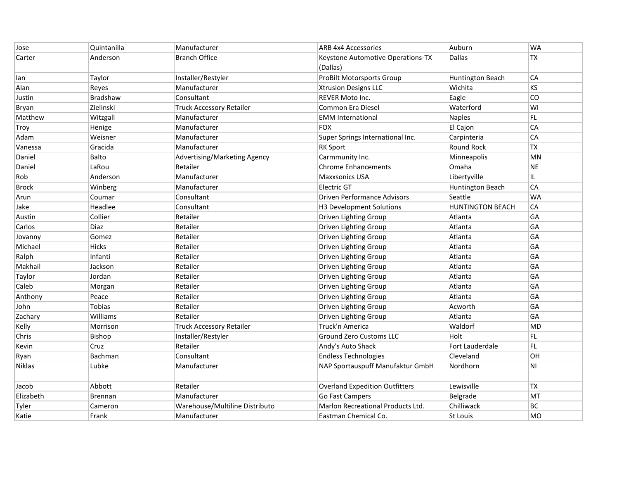| Jose         | Quintanilla    | Manufacturer                    | <b>ARB 4x4 Accessories</b>            | Auburn                  | <b>WA</b>      |
|--------------|----------------|---------------------------------|---------------------------------------|-------------------------|----------------|
| Carter       | Anderson       | <b>Branch Office</b>            | Keystone Automotive Operations-TX     | Dallas                  | TX             |
|              |                |                                 | (Dallas)                              |                         |                |
| lan          | Taylor         | Installer/Restyler              | <b>ProBilt Motorsports Group</b>      | Huntington Beach        | CA             |
| Alan         | Reyes          | Manufacturer                    | <b>Xtrusion Designs LLC</b>           | Wichita                 | <b>KS</b>      |
| Justin       | Bradshaw       | Consultant                      | <b>REVER Moto Inc.</b>                | Eagle                   | CO             |
| Bryan        | Zielinski      | Truck Accessory Retailer        | <b>Common Era Diesel</b>              | Waterford               | WI             |
| Matthew      | Witzgall       | Manufacturer                    | <b>EMM</b> International              | Naples                  | FL             |
| Troy         | Henige         | Manufacturer                    | FOX                                   | El Cajon                | CA             |
| Adam         | Weisner        | Manufacturer                    | Super Springs International Inc.      | Carpinteria             | CA             |
| Vanessa      | Gracida        | Manufacturer                    | <b>RK Sport</b>                       | <b>Round Rock</b>       | <b>TX</b>      |
| Daniel       | Balto          | Advertising/Marketing Agency    | Carmmunity Inc.                       | Minneapolis             | MN             |
| Daniel       | LaRou          | Retailer                        | <b>Chrome Enhancements</b>            | Omaha                   | <b>NE</b>      |
| Rob          | Anderson       | Manufacturer                    | <b>Maxxsonics USA</b>                 | Libertyville            | IL.            |
| <b>Brock</b> | Winberg        | Manufacturer                    | Electric GT                           | Huntington Beach        | CA             |
| Arun         | Coumar         | Consultant                      | <b>Driven Performance Advisors</b>    | Seattle                 | <b>WA</b>      |
| Jake         | Headlee        | Consultant                      | H3 Development Solutions              | <b>HUNTINGTON BEACH</b> | CA             |
| Austin       | Collier        | Retailer                        | Driven Lighting Group                 | Atlanta                 | GA             |
| Carlos       | Diaz           | Retailer                        | Driven Lighting Group                 | Atlanta                 | GA             |
| Jovanny      | Gomez          | Retailer                        | Driven Lighting Group                 | Atlanta                 | GA             |
| Michael      | <b>Hicks</b>   | Retailer                        | Driven Lighting Group                 | Atlanta                 | GA             |
| Ralph        | Infanti        | Retailer                        | Driven Lighting Group                 | Atlanta                 | GA             |
| Makhail      | Jackson        | Retailer                        | Driven Lighting Group                 | Atlanta                 | GA             |
| Taylor       | Jordan         | Retailer                        | Driven Lighting Group                 | Atlanta                 | GA             |
| Caleb        | Morgan         | Retailer                        | Driven Lighting Group                 | Atlanta                 | GA             |
| Anthony      | Peace          | Retailer                        | Driven Lighting Group                 | Atlanta                 | GA             |
| John         | <b>Tobias</b>  | Retailer                        | Driven Lighting Group                 | Acworth                 | GA             |
| Zachary      | Williams       | Retailer                        | Driven Lighting Group                 | Atlanta                 | GA             |
| Kelly        | Morrison       | <b>Truck Accessory Retailer</b> | Truck'n America                       | Waldorf                 | MD             |
| Chris        | Bishop         | Installer/Restyler              | <b>Ground Zero Customs LLC</b>        | Holt                    | FL.            |
| Kevin        | Cruz           | Retailer                        | Andy's Auto Shack                     | Fort Lauderdale         | FL             |
| Ryan         | Bachman        | Consultant                      | <b>Endless Technologies</b>           | Cleveland               | OH             |
| Niklas       | Lubke          | Manufacturer                    | NAP Sportauspuff Manufaktur GmbH      | Nordhorn                | N <sub>1</sub> |
| Jacob        | Abbott         | Retailer                        | <b>Overland Expedition Outfitters</b> | Lewisville              | <b>TX</b>      |
| Elizabeth    | <b>Brennan</b> | Manufacturer                    | Go Fast Campers                       | Belgrade                | MT             |
| Tyler        | Cameron        | Warehouse/Multiline Distributo  | Marlon Recreational Products Ltd.     | Chilliwack              | BC             |
| Katie        | Frank          | Manufacturer                    | Eastman Chemical Co.                  | <b>St Louis</b>         | <b>MO</b>      |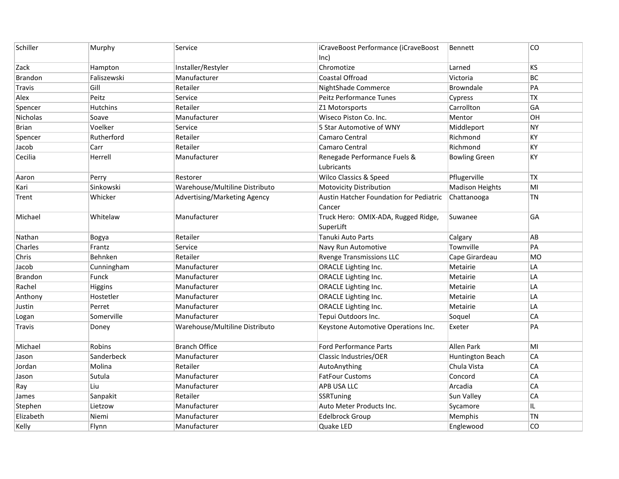| Schiller        | Murphy          | Service                        | iCraveBoost Performance (iCraveBoost<br>lnc)             | Bennett                | CO        |
|-----------------|-----------------|--------------------------------|----------------------------------------------------------|------------------------|-----------|
| Zack            | Hampton         | Installer/Restyler             | Chromotize                                               | Larned                 | <b>KS</b> |
| <b>Brandon</b>  | Faliszewski     | Manufacturer                   | Coastal Offroad                                          | Victoria               | <b>BC</b> |
| Travis          | Gill            | Retailer                       | NightShade Commerce                                      | Browndale              | PA        |
| Alex            | Peitz           | Service                        | Peitz Performance Tunes                                  | Cypress                | <b>TX</b> |
| Spencer         | <b>Hutchins</b> | Retailer                       | Z1 Motorsports                                           | Carrollton             | GA        |
| <b>Nicholas</b> | Soave           | Manufacturer                   | Wiseco Piston Co. Inc.                                   | Mentor                 | OН        |
| Brian           | Voelker         | Service                        | 5 Star Automotive of WNY                                 | Middleport             | <b>NY</b> |
| Spencer         | Rutherford      | Retailer                       | Camaro Central                                           | Richmond               | KY        |
| Jacob           | Carr            | Retailer                       | Camaro Central                                           | Richmond               | KY        |
| Cecilia         | Herrell         | Manufacturer                   | Renegade Performance Fuels &<br>Lubricants               | <b>Bowling Green</b>   | KY        |
| Aaron           | Perry           | Restorer                       | <b>Wilco Classics &amp; Speed</b>                        | Pflugerville           | <b>TX</b> |
| Kari            | Sinkowski       | Warehouse/Multiline Distributo | <b>Motovicity Distribution</b>                           | <b>Madison Heights</b> | MI        |
| Trent           | Whicker         | Advertising/Marketing Agency   | <b>Austin Hatcher Foundation for Pediatric</b><br>Cancer | Chattanooga            | <b>TN</b> |
| Michael         | Whitelaw        | Manufacturer                   | Truck Hero: OMIX-ADA, Rugged Ridge,<br>SuperLift         | Suwanee                | GA        |
| Nathan          | Bogya           | Retailer                       | Tanuki Auto Parts                                        | Calgary                | AB        |
| Charles         | Frantz          | Service                        | Navy Run Automotive                                      | Townville              | PA        |
| Chris           | Behnken         | Retailer                       | <b>Rvenge Transmissions LLC</b>                          | Cape Girardeau         | <b>MO</b> |
| Jacob           | Cunningham      | Manufacturer                   | <b>ORACLE Lighting Inc.</b>                              | Metairie               | LA        |
| Brandon         | Funck           | Manufacturer                   | ORACLE Lighting Inc.                                     | Metairie               | LA        |
| Rachel          | Higgins         | Manufacturer                   | ORACLE Lighting Inc.                                     | Metairie               | LA        |
| Anthony         | Hostetler       | Manufacturer                   | ORACLE Lighting Inc.                                     | Metairie               | LA        |
| Justin          | Perret          | Manufacturer                   | <b>ORACLE Lighting Inc.</b>                              | Metairie               | LA        |
| Logan           | Somerville      | Manufacturer                   | Tepui Outdoors Inc.                                      | Soquel                 | CA        |
| Travis          | Doney           | Warehouse/Multiline Distributo | Keystone Automotive Operations Inc.                      | Exeter                 | PA        |
| Michael         | Robins          | <b>Branch Office</b>           | <b>Ford Performance Parts</b>                            | Allen Park             | MI        |
| Jason           | Sanderbeck      | Manufacturer                   | Classic Industries/OER                                   | Huntington Beach       | CA        |
| Jordan          | Molina          | Retailer                       | AutoAnything                                             | Chula Vista            | CA        |
| Jason           | Sutula          | Manufacturer                   | <b>FatFour Customs</b>                                   | Concord                | CA        |
| Ray             | Liu             | Manufacturer                   | <b>APB USA LLC</b>                                       | Arcadia                | CA        |
| James           | Sanpakit        | Retailer                       | SSRTuning                                                | Sun Valley             | CA        |
| Stephen         | Lietzow         | Manufacturer                   | Auto Meter Products Inc.                                 | Sycamore               | IL        |
| Elizabeth       | Niemi           | Manufacturer                   | <b>Edelbrock Group</b>                                   | Memphis                | <b>TN</b> |
| Kelly           | Flynn           | Manufacturer                   | Quake LED                                                | Englewood              | CO        |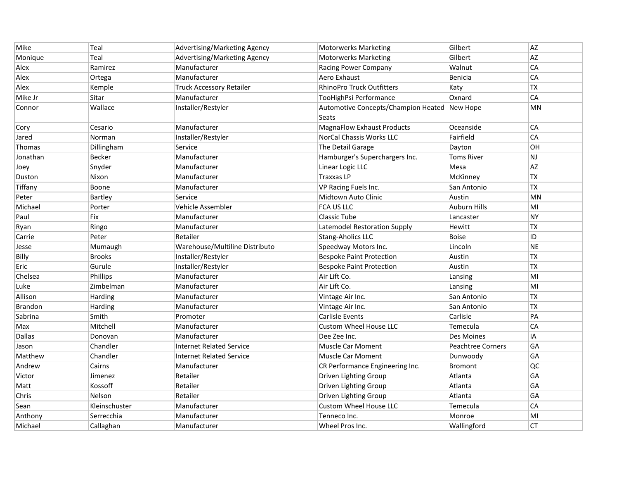| Mike           | Teal          | Advertising/Marketing Agency    | <b>Motorwerks Marketing</b>                  | Gilbert                  | <b>AZ</b> |
|----------------|---------------|---------------------------------|----------------------------------------------|--------------------------|-----------|
| Monique        | Teal          | Advertising/Marketing Agency    | <b>Motorwerks Marketing</b>                  | Gilbert                  | AZ        |
| Alex           | Ramirez       | Manufacturer                    | Racing Power Company                         | Walnut                   | CA        |
| Alex           | Ortega        | Manufacturer                    | Aero Exhaust                                 | Benicia                  | CA        |
| Alex           | Kemple        | <b>Truck Accessory Retailer</b> | <b>RhinoPro Truck Outfitters</b>             | Katy                     | TX        |
| Mike Jr        | Sitar         | Manufacturer                    | TooHighPsi Performance                       | Oxnard                   | CA        |
| Connor         | Wallace       | Installer/Restyler              | Automotive Concepts/Champion Heated New Hope |                          | <b>MN</b> |
|                |               |                                 | <b>Seats</b>                                 |                          |           |
| Cory           | Cesario       | Manufacturer                    | MagnaFlow Exhaust Products                   | Oceanside                | CA        |
| Jared          | Norman        | Installer/Restyler              | NorCal Chassis Works LLC                     | Fairfield                | CA        |
| Thomas         | Dillingham    | Service                         | The Detail Garage                            | Dayton                   | OH        |
| Jonathan       | <b>Becker</b> | Manufacturer                    | Hamburger's Superchargers Inc.               | Toms River               | <b>NJ</b> |
| Joey           | Snyder        | Manufacturer                    | Linear Logic LLC                             | Mesa                     | AZ        |
| Duston         | Nixon         | Manufacturer                    | <b>Traxxas LP</b>                            | McKinney                 | <b>TX</b> |
| Tiffany        | Boone         | Manufacturer                    | <b>VP Racing Fuels Inc.</b>                  | San Antonio              | TX        |
| Peter          | Bartley       | Service                         | Midtown Auto Clinic                          | Austin                   | MN        |
| Michael        | Porter        | Vehicle Assembler               | FCA US LLC                                   | <b>Auburn Hills</b>      | MI        |
| Paul           | <b>Fix</b>    | Manufacturer                    | Classic Tube                                 | Lancaster                | <b>NY</b> |
| Ryan           | Ringo         | Manufacturer                    | Latemodel Restoration Supply                 | Hewitt                   | <b>TX</b> |
| Carrie         | Peter         | Retailer                        | Stang-Aholics LLC                            | <b>Boise</b>             | ID        |
| Jesse          | Mumaugh       | Warehouse/Multiline Distributo  | Speedway Motors Inc.                         | Lincoln                  | <b>NE</b> |
| Billy          | <b>Brooks</b> | Installer/Restyler              | <b>Bespoke Paint Protection</b>              | Austin                   | TX        |
| Eric           | Gurule        | Installer/Restyler              | <b>Bespoke Paint Protection</b>              | Austin                   | <b>TX</b> |
| Chelsea        | Phillips      | Manufacturer                    | Air Lift Co.                                 | Lansing                  | MI        |
| Luke           | Zimbelman     | Manufacturer                    | Air Lift Co.                                 | Lansing                  | MI        |
| Allison        | Harding       | Manufacturer                    | Vintage Air Inc.                             | San Antonio              | <b>TX</b> |
| <b>Brandon</b> | Harding       | Manufacturer                    | Vintage Air Inc.                             | San Antonio              | <b>TX</b> |
| Sabrina        | Smith         | Promoter                        | Carlisle Events                              | Carlisle                 | PA        |
| Max            | Mitchell      | Manufacturer                    | <b>Custom Wheel House LLC</b>                | Temecula                 | CA        |
| <b>Dallas</b>  | Donovan       | Manufacturer                    | Dee Zee Inc.                                 | Des Moines               | IA        |
| Jason          | Chandler      | <b>Internet Related Service</b> | <b>Muscle Car Moment</b>                     | <b>Peachtree Corners</b> | GA        |
| Matthew        | Chandler      | <b>Internet Related Service</b> | <b>Muscle Car Moment</b>                     | Dunwoody                 | GA        |
| Andrew         | Cairns        | Manufacturer                    | CR Performance Engineering Inc.              | <b>Bromont</b>           | QC        |
| Victor         | Jimenez       | Retailer                        | Driven Lighting Group                        | Atlanta                  | GA        |
| Matt           | Kossoff       | Retailer                        | Driven Lighting Group                        | Atlanta                  | GA        |
| Chris          | Nelson        | Retailer                        | Driven Lighting Group                        | Atlanta                  | GA        |
| Sean           | Kleinschuster | Manufacturer                    | <b>Custom Wheel House LLC</b>                | Temecula                 | CA        |
| Anthony        | Serrecchia    | Manufacturer                    | Tenneco Inc.                                 | Monroe                   | MI        |
| Michael        | Callaghan     | Manufacturer                    | Wheel Pros Inc.                              | Wallingford              | <b>CT</b> |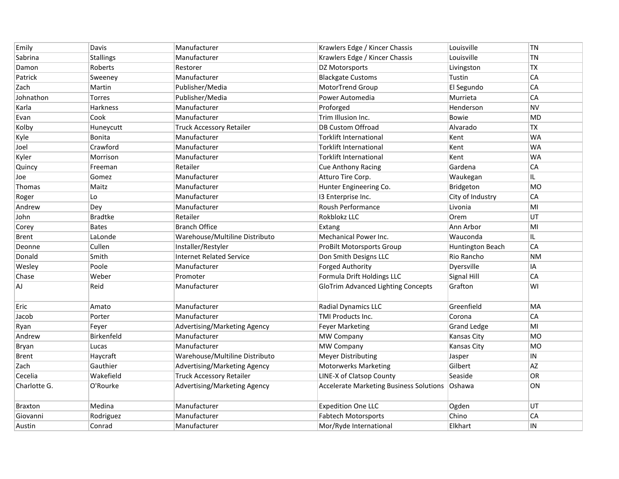| Emily        | Davis            | Manufacturer                    | Krawlers Edge / Kincer Chassis                 | Louisville              | TN         |
|--------------|------------------|---------------------------------|------------------------------------------------|-------------------------|------------|
| Sabrina      | <b>Stallings</b> | Manufacturer                    | Krawlers Edge / Kincer Chassis                 | Louisville              | <b>TN</b>  |
| Damon        | Roberts          | Restorer                        | DZ Motorsports                                 | Livingston              | <b>TX</b>  |
| Patrick      | Sweeney          | Manufacturer                    | <b>Blackgate Customs</b>                       | Tustin                  | CA         |
| Zach         | Martin           | Publisher/Media                 | MotorTrend Group                               | El Segundo              | CA         |
| Johnathon    | <b>Torres</b>    | Publisher/Media                 | Power Automedia                                | Murrieta                | CA         |
| Karla        | <b>Harkness</b>  | Manufacturer                    | Proforged                                      | Henderson               | <b>NV</b>  |
| Evan         | Cook             | Manufacturer                    | Trim Illusion Inc.                             | <b>Bowie</b>            | <b>MD</b>  |
| Kolby        | Huneycutt        | <b>Truck Accessory Retailer</b> | <b>DB Custom Offroad</b>                       | Alvarado                | <b>TX</b>  |
| Kyle         | Bonita           | Manufacturer                    | <b>Torklift International</b>                  | Kent                    | <b>WA</b>  |
| Joel         | Crawford         | Manufacturer                    | <b>Torklift International</b>                  | Kent                    | <b>WA</b>  |
| Kyler        | Morrison         | Manufacturer                    | <b>Torklift International</b>                  | Kent                    | WA         |
| Quincy       | Freeman          | Retailer                        | <b>Cue Anthony Racing</b>                      | Gardena                 | CA         |
| Joe          | Gomez            | Manufacturer                    | Atturo Tire Corp.                              | Waukegan                | IL.        |
| Thomas       | Maitz            | Manufacturer                    | Hunter Engineering Co.                         | Bridgeton               | <b>MO</b>  |
| Roger        | Lo               | Manufacturer                    | 13 Enterprise Inc.                             | City of Industry        | CA         |
| Andrew       | Dey              | Manufacturer                    | Roush Performance                              | Livonia                 | MI         |
| John         | <b>Bradtke</b>   | Retailer                        | Rokblokz LLC                                   | Orem                    | UT         |
| Corey        | <b>Bates</b>     | <b>Branch Office</b>            | Extang                                         | Ann Arbor               | MI         |
| <b>Brent</b> | LaLonde          | Warehouse/Multiline Distributo  | Mechanical Power Inc.                          | Wauconda                | IL.        |
| Deonne       | Cullen           | Installer/Restyler              | <b>ProBilt Motorsports Group</b>               | <b>Huntington Beach</b> | CA         |
| Donald       | Smith            | <b>Internet Related Service</b> | Don Smith Designs LLC                          | Rio Rancho              | <b>NM</b>  |
| Wesley       | Poole            | Manufacturer                    | <b>Forged Authority</b>                        | Dyersville              | IA         |
| Chase        | Weber            | Promoter                        | Formula Drift Holdings LLC                     | Signal Hill             | CA         |
| AJ           | Reid             | Manufacturer                    | <b>GloTrim Advanced Lighting Concepts</b>      | Grafton                 | WI         |
| Eric         | Amato            | Manufacturer                    | Radial Dynamics LLC                            | Greenfield              | MA         |
| Jacob        | Porter           | Manufacturer                    | TMI Products Inc.                              | Corona                  | CA         |
| Ryan         | Feyer            | Advertising/Marketing Agency    | <b>Feyer Marketing</b>                         | <b>Grand Ledge</b>      | MI         |
| Andrew       | Birkenfeld       | Manufacturer                    | <b>MW Company</b>                              | <b>Kansas City</b>      | <b>MO</b>  |
| Bryan        | Lucas            | Manufacturer                    | MW Company                                     | <b>Kansas City</b>      | <b>MO</b>  |
| Brent        | Haycraft         | Warehouse/Multiline Distributo  | <b>Meyer Distributing</b>                      | Jasper                  | ${\sf IN}$ |
| Zach         | Gauthier         | Advertising/Marketing Agency    | <b>Motorwerks Marketing</b>                    | Gilbert                 | AZ         |
| Cecelia      | Wakefield        | <b>Truck Accessory Retailer</b> | LINE-X of Clatsop County                       | Seaside                 | OR         |
| Charlotte G. | O'Rourke         | Advertising/Marketing Agency    | <b>Accelerate Marketing Business Solutions</b> | <b>Oshawa</b>           | ON         |
| Braxton      | Medina           | Manufacturer                    | <b>Expedition One LLC</b>                      | Ogden                   | UT         |
| Giovanni     | Rodriguez        | Manufacturer                    | <b>Fabtech Motorsports</b>                     | Chino                   | CA         |
| Austin       | Conrad           | Manufacturer                    | Mor/Ryde International                         | Elkhart                 | IN         |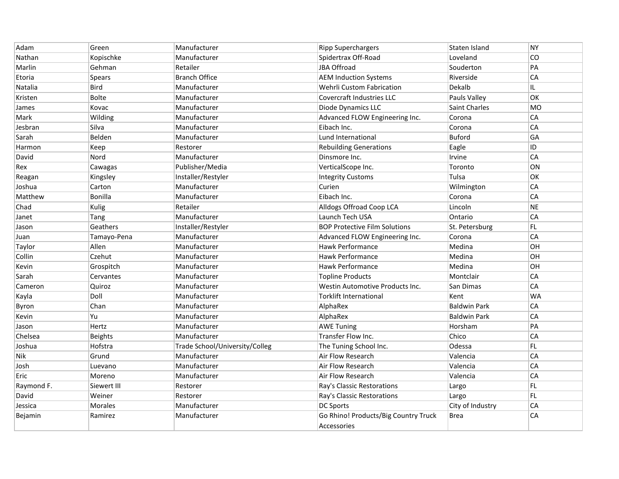| Adam       | Green          | Manufacturer                   | <b>Ripp Superchargers</b>                           | Staten Island        | <b>NY</b> |
|------------|----------------|--------------------------------|-----------------------------------------------------|----------------------|-----------|
| Nathan     | Kopischke      | Manufacturer                   | Spidertrax Off-Road                                 | Loveland             | CO        |
| Marlin     | Gehman         | Retailer                       | JBA Offroad                                         | Souderton            | PA        |
| Etoria     | Spears         | <b>Branch Office</b>           | <b>AEM Induction Systems</b>                        | Riverside            | CA        |
| Natalia    | <b>Bird</b>    | Manufacturer                   | Wehrli Custom Fabrication                           | Dekalb               | IL.       |
| Kristen    | <b>Bolte</b>   | Manufacturer                   | <b>Covercraft Industries LLC</b>                    | Pauls Valley         | OK        |
| James      | Kovac          | Manufacturer                   | Diode Dynamics LLC                                  | <b>Saint Charles</b> | <b>MO</b> |
| Mark       | Wilding        | Manufacturer                   | Advanced FLOW Engineering Inc.                      | Corona               | CA        |
| Jesbran    | Silva          | Manufacturer                   | Eibach Inc.                                         | Corona               | CA        |
| Sarah      | Belden         | Manufacturer                   | Lund International                                  | <b>Buford</b>        | GA        |
| Harmon     | Keep           | Restorer                       | <b>Rebuilding Generations</b>                       | Eagle                | ID        |
| David      | Nord           | Manufacturer                   | Dinsmore Inc.                                       | Irvine               | CA        |
| Rex        | Cawagas        | Publisher/Media                | VerticalScope Inc.                                  | Toronto              | ON        |
| Reagan     | Kingsley       | Installer/Restyler             | <b>Integrity Customs</b>                            | Tulsa                | OK        |
| Joshua     | Carton         | Manufacturer                   | Curien                                              | Wilmington           | CA        |
| Matthew    | Bonilla        | Manufacturer                   | Eibach Inc.                                         | Corona               | CA        |
| Chad       | Kulig          | Retailer                       | Alldogs Offroad Coop LCA                            | Lincoln              | <b>NE</b> |
| Janet      | Tang           | Manufacturer                   | Launch Tech USA                                     | Ontario              | CA        |
| Jason      | Geathers       | Installer/Restyler             | <b>BOP Protective Film Solutions</b>                | St. Petersburg       | FL.       |
| Juan       | Tamayo-Pena    | Manufacturer                   | Advanced FLOW Engineering Inc.                      | Corona               | CA        |
| Taylor     | Allen          | Manufacturer                   | Hawk Performance                                    | Medina               | OН        |
| Collin     | Czehut         | Manufacturer                   | Hawk Performance                                    | Medina               | OН        |
| Kevin      | Grospitch      | Manufacturer                   | Hawk Performance                                    | Medina               | OН        |
| Sarah      | Cervantes      | Manufacturer                   | <b>Topline Products</b>                             | Montclair            | CA        |
| Cameron    | Quiroz         | Manufacturer                   | Westin Automotive Products Inc.                     | San Dimas            | CA        |
| Kayla      | Doll           | Manufacturer                   | <b>Torklift International</b>                       | Kent                 | <b>WA</b> |
| Byron      | Chan           | Manufacturer                   | AlphaRex                                            | <b>Baldwin Park</b>  | CA        |
| Kevin      | Yu             | Manufacturer                   | AlphaRex                                            | <b>Baldwin Park</b>  | CA        |
| Jason      | Hertz          | Manufacturer                   | <b>AWE Tuning</b>                                   | Horsham              | PA        |
| Chelsea    | <b>Beights</b> | Manufacturer                   | Transfer Flow Inc.                                  | Chico                | CA        |
| Joshua     | Hofstra        | Trade School/University/Colleg | The Tuning School Inc.                              | Odessa               | FL        |
| Nik        | Grund          | Manufacturer                   | Air Flow Research                                   | Valencia             | CA        |
| Josh       | Luevano        | Manufacturer                   | <b>Air Flow Research</b>                            | Valencia             | CA        |
| Eric       | Moreno         | Manufacturer                   | Air Flow Research                                   | Valencia             | CA        |
| Raymond F. | Siewert III    | Restorer                       | Ray's Classic Restorations                          | Largo                | FL        |
| David      | Weiner         | Restorer                       | Ray's Classic Restorations                          | Largo                | FL        |
| Jessica    | <b>Morales</b> | Manufacturer                   | <b>DC Sports</b>                                    | City of Industry     | CA        |
| Bejamin    | Ramirez        | Manufacturer                   | Go Rhino! Products/Big Country Truck<br>Accessories | <b>Brea</b>          | CA        |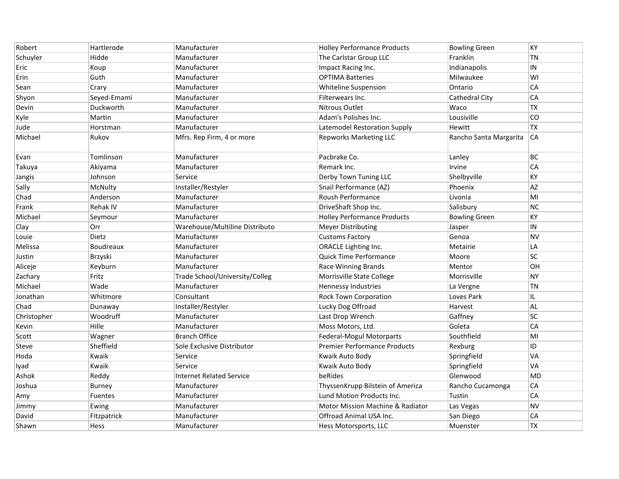| Robert      | Hartlerode     | Manufacturer                    | <b>Holley Performance Products</b>          | <b>Bowling Green</b>   | KY        |
|-------------|----------------|---------------------------------|---------------------------------------------|------------------------|-----------|
| Schuyler    | Hidde          | Manufacturer                    | The Carlstar Group LLC                      | Franklin               | <b>TN</b> |
| Eric        | Koup           | Manufacturer                    | Impact Racing Inc.                          | Indianapolis           | $\sf IN$  |
| Erin        | Guth           | Manufacturer                    | <b>OPTIMA Batteries</b>                     | Milwaukee              | WI        |
| Sean        | Crary          | Manufacturer                    | Whiteline Suspension                        | Ontario                | CA        |
| Shyon       | Seyed-Emami    | Manufacturer                    | Filterwears Inc.                            | Cathedral City         | CA        |
| Devin       | Duckworth      | Manufacturer                    | Nitrous Outlet                              | Waco                   | TX        |
| Kyle        | Martin         | Manufacturer                    | Adam's Polishes Inc.                        | Lousiville             | CO        |
| Jude        | Horstman       | Manufacturer                    | Latemodel Restoration Supply                | Hewitt                 | <b>TX</b> |
| Michael     | Rukov          | Mfrs. Rep Firm, 4 or more       | <b>Repworks Marketing LLC</b>               | Rancho Santa Margarita | CA        |
| Evan        | Tomlinson      | Manufacturer                    | Pacbrake Co.                                | Lanley                 | BC        |
| Takuya      | Akiyama        | Manufacturer                    | Remark Inc.                                 | Irvine                 | CA        |
| Jangis      | Johnson        | Service                         | Derby Town Tuning LLC                       | Shelbyville            | KY        |
| Sally       | McNulty        | Installer/Restyler              | Snail Performance (AZ)                      | Phoenix                | <b>AZ</b> |
| Chad        | Anderson       | Manufacturer                    | Roush Performance                           | Livonia                | MI        |
| Frank       | Rehak IV       | Manufacturer                    | DriveShaft Shop Inc.                        | Salisbury              | <b>NC</b> |
| Michael     | Seymour        | Manufacturer                    | <b>Holley Performance Products</b>          | <b>Bowling Green</b>   | KY        |
| Clay        | Orr            | Warehouse/Multiline Distributo  | <b>Meyer Distributing</b>                   | Jasper                 | $\sf IN$  |
| Louie       | <b>Dietz</b>   | Manufacturer                    | <b>Customs Factory</b>                      | Genoa                  | <b>NV</b> |
| Melissa     | Boudreaux      | Manufacturer                    | ORACLE Lighting Inc.                        | Metairie               | LA        |
| Justin      | Brzyski        | Manufacturer                    | Quick Time Performance                      | Moore                  | SC        |
| Aliceje     | Keyburn        | Manufacturer                    | Race Winning Brands                         | Mentor                 | OH        |
| Zachary     | Fritz          | Trade School/University/Colleg  | Morrisville State College                   | Morrisville            | <b>NY</b> |
| Michael     | Wade           | Manufacturer                    | <b>Hennessy Industries</b>                  | La Vergne              | <b>TN</b> |
| Jonathan    | Whitmore       | Consultant                      | <b>Rock Town Corporation</b>                | Loves Park             | IL.       |
| Chad        | Dunaway        | Installer/Restyler              | Lucky Dog Offroad                           | Harvest                | AL        |
| Christopher | Woodruff       | Manufacturer                    | Last Drop Wrench                            | Gaffney                | <b>SC</b> |
| Kevin       | Hille          | Manufacturer                    | Moss Motors, Ltd.                           | Goleta                 | CA        |
| Scott       | Wagner         | <b>Branch Office</b>            | Federal-Mogul Motorparts                    | Southfield             | MI        |
| Steve       | Sheffield      | Sole Exclusive Distributor      | <b>Premier Performance Products</b>         | Rexburg                | ID        |
| Hoda        | Kwaik          | Service                         | Kwaik Auto Body                             | Springfield            | VA        |
| lyad        | Kwaik          | Service                         | Kwaik Auto Body                             | Springfield            | <b>VA</b> |
| Ashok       | Reddy          | <b>Internet Related Service</b> | beRides                                     | Glenwood               | <b>MD</b> |
| Joshua      | Burney         | Manufacturer                    | ThyssenKrupp Bilstein of America            | Rancho Cucamonga       | CA        |
| Amy         | <b>Fuentes</b> | Manufacturer                    | Lund Motion Products Inc.                   | Tustin                 | CA        |
| Jimmy       | Ewing          | Manufacturer                    | <b>Motor Mission Machine &amp; Radiator</b> | Las Vegas              | <b>NV</b> |
| David       | Fitzpatrick    | Manufacturer                    | Offroad Animal USA Inc.                     | San Diego              | CA        |
| Shawn       | Hess           | Manufacturer                    | Hess Motorsports, LLC                       | Muenster               | <b>TX</b> |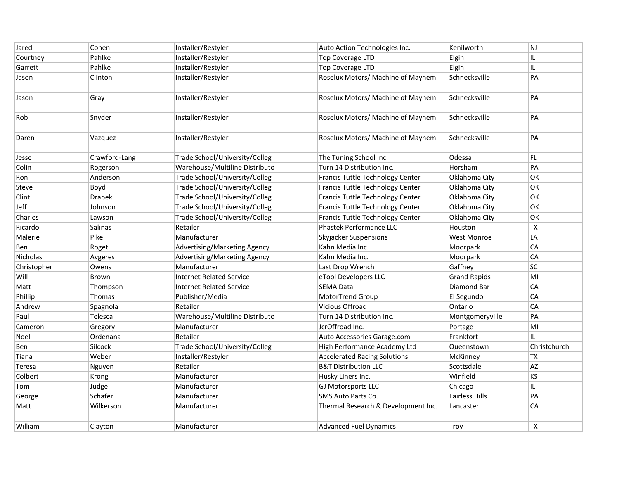| Jared        | Cohen         | Installer/Restyler              | Auto Action Technologies Inc.       | Kenilworth          | NJ           |
|--------------|---------------|---------------------------------|-------------------------------------|---------------------|--------------|
| Courtney     | Pahlke        | Installer/Restyler              | Top Coverage LTD                    | Elgin               | IL           |
| Garrett      | Pahlke        | Installer/Restyler              | Top Coverage LTD                    | Elgin               | IL.          |
| Jason        | Clinton       | Installer/Restyler              | Roselux Motors/ Machine of Mayhem   | Schnecksville       | PA           |
| Jason        | Gray          | Installer/Restyler              | Roselux Motors/ Machine of Mayhem   | Schnecksville       | PA           |
| Rob          | Snyder        | Installer/Restyler              | Roselux Motors/ Machine of Mayhem   | Schnecksville       | PA           |
| Daren        | Vazquez       | Installer/Restyler              | Roselux Motors/ Machine of Mayhem   | Schnecksville       | PA           |
| Jesse        | Crawford-Lang | Trade School/University/Colleg  | The Tuning School Inc.              | Odessa              | FL.          |
| Colin        | Rogerson      | Warehouse/Multiline Distributo  | Turn 14 Distribution Inc.           | Horsham             | PA           |
| Ron          | Anderson      | Trade School/University/Colleg  | Francis Tuttle Technology Center    | Oklahoma City       | OK           |
| <b>Steve</b> | Boyd          | Trade School/University/Colleg  | Francis Tuttle Technology Center    | Oklahoma City       | OK           |
| Clint        | <b>Drabek</b> | Trade School/University/Colleg  | Francis Tuttle Technology Center    | Oklahoma City       | OK           |
| Jeff         | Johnson       | Trade School/University/Colleg  | Francis Tuttle Technology Center    | Oklahoma City       | OK           |
| Charles      | Lawson        | Trade School/University/Colleg  | Francis Tuttle Technology Center    | Oklahoma City       | OK           |
| Ricardo      | Salinas       | Retailer                        | Phastek Performance LLC             | Houston             | <b>TX</b>    |
| Malerie      | Pike          | Manufacturer                    | Skyjacker Suspensions               | <b>West Monroe</b>  | LA           |
| Ben          | Roget         | Advertising/Marketing Agency    | Kahn Media Inc.                     | Moorpark            | CA           |
| Nicholas     | Avgeres       | Advertising/Marketing Agency    | Kahn Media Inc.                     | Moorpark            | CA           |
| Christopher  | Owens         | Manufacturer                    | Last Drop Wrench                    | Gaffney             | SC           |
| Will         | Brown         | <b>Internet Related Service</b> | eTool Developers LLC                | <b>Grand Rapids</b> | MI           |
| Matt         | Thompson      | <b>Internet Related Service</b> | <b>SEMA Data</b>                    | Diamond Bar         | CA           |
| Phillip      | Thomas        | Publisher/Media                 | MotorTrend Group                    | El Segundo          | CA           |
| Andrew       | Spagnola      | Retailer                        | Vicious Offroad                     | Ontario             | ${\sf CA}$   |
| Paul         | Telesca       | Warehouse/Multiline Distributo  | Turn 14 Distribution Inc.           | Montgomeryville     | PA           |
| Cameron      | Gregory       | Manufacturer                    | JcrOffroad Inc.                     | Portage             | MI           |
| Noel         | Ordenana      | Retailer                        | Auto Accessories Garage.com         | Frankfort           | IL.          |
| Ben          | Silcock       | Trade School/University/Colleg  | High Performance Academy Ltd        | Queenstown          | Christchurch |
| Tiana        | Weber         | Installer/Restyler              | <b>Accelerated Racing Solutions</b> | McKinney            | ТX           |
| Teresa       | Nguyen        | Retailer                        | <b>B&amp;T Distribution LLC</b>     | Scottsdale          | AZ           |
| Colbert      | Krong         | Manufacturer                    | Husky Liners Inc.                   | Winfield            | KS           |
| Tom          | Judge         | Manufacturer                    | <b>GJ Motorsports LLC</b>           | Chicago             | IL.          |
| George       | Schafer       | Manufacturer                    | SMS Auto Parts Co.                  | Fairless Hills      | PA           |
| Matt         | Wilkerson     | Manufacturer                    | Thermal Research & Development Inc. | Lancaster           | ${\sf CA}$   |
| William      | Clayton       | Manufacturer                    | <b>Advanced Fuel Dynamics</b>       | Troy                | <b>TX</b>    |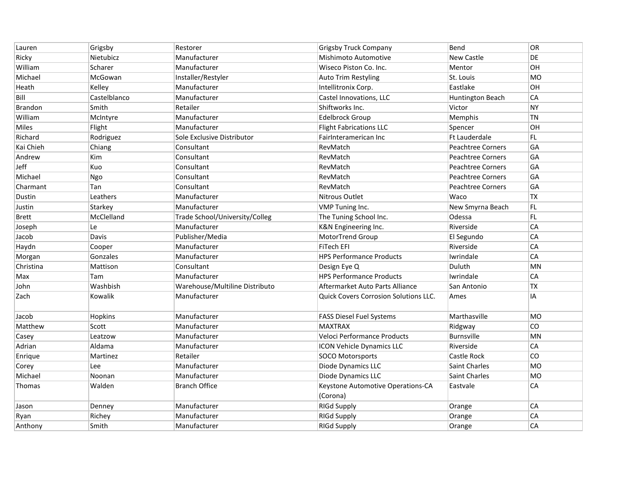| Lauren         | Grigsby      | Restorer                       | <b>Grigsby Truck Company</b>                 | Bend                     | <b>OR</b> |
|----------------|--------------|--------------------------------|----------------------------------------------|--------------------------|-----------|
| Ricky          | Nietubicz    | Manufacturer                   | Mishimoto Automotive                         | New Castle               | DE        |
| William        | Scharer      | Manufacturer                   | Wiseco Piston Co. Inc.                       | Mentor                   | OH        |
| Michael        | McGowan      | Installer/Restyler             | <b>Auto Trim Restyling</b>                   | St. Louis                | <b>MO</b> |
| Heath          | Kelley       | Manufacturer                   | Intellitronix Corp.                          | Eastlake                 | OH        |
| Bill           | Castelblanco | Manufacturer                   | Castel Innovations, LLC                      | Huntington Beach         | CA        |
| <b>Brandon</b> | Smith        | Retailer                       | Shiftworks Inc.                              | Victor                   | <b>NY</b> |
| William        | McIntyre     | Manufacturer                   | Edelbrock Group                              | Memphis                  | <b>TN</b> |
| Miles          | Flight       | Manufacturer                   | <b>Flight Fabrications LLC</b>               | Spencer                  | OH        |
| Richard        | Rodriguez    | Sole Exclusive Distributor     | FairInteramerican Inc                        | <b>Ft Lauderdale</b>     | FL.       |
| Kai Chieh      | Chiang       | Consultant                     | RevMatch                                     | <b>Peachtree Corners</b> | GA        |
| Andrew         | Kim          | Consultant                     | RevMatch                                     | <b>Peachtree Corners</b> | GA        |
| Jeff           | Kuo          | Consultant                     | RevMatch                                     | <b>Peachtree Corners</b> | GA        |
| Michael        | Ngo          | Consultant                     | RevMatch                                     | <b>Peachtree Corners</b> | GA        |
| Charmant       | Tan          | Consultant                     | RevMatch                                     | <b>Peachtree Corners</b> | GA        |
| Dustin         | Leathers     | Manufacturer                   | Nitrous Outlet                               | Waco                     | <b>TX</b> |
| Justin         | Starkey      | Manufacturer                   | VMP Tuning Inc.                              | New Smyrna Beach         | FL        |
| Brett          | McClelland   | Trade School/University/Colleg | The Tuning School Inc.                       | Odessa                   | FL        |
| Joseph         | Le           | Manufacturer                   | K&N Engineering Inc.                         | Riverside                | CA        |
| Jacob          | Davis        | Publisher/Media                | MotorTrend Group                             | El Segundo               | CA        |
| Haydn          | Cooper       | Manufacturer                   | <b>FiTech EFI</b>                            | Riverside                | CA        |
| Morgan         | Gonzales     | Manufacturer                   | <b>HPS Performance Products</b>              | Iwrindale                | CA        |
| Christina      | Mattison     | Consultant                     | Design Eye Q                                 | Duluth                   | <b>MN</b> |
| Max            | Tam          | Manufacturer                   | <b>HPS Performance Products</b>              | Iwrindale                | CA        |
| John           | Washbish     | Warehouse/Multiline Distributo | Aftermarket Auto Parts Alliance              | San Antonio              | <b>TX</b> |
| Zach           | Kowalik      | Manufacturer                   | <b>Quick Covers Corrosion Solutions LLC.</b> | Ames                     | IA        |
| Jacob          | Hopkins      | Manufacturer                   | <b>FASS Diesel Fuel Systems</b>              | Marthasville             | <b>MO</b> |
| Matthew        | Scott        | Manufacturer                   | <b>MAXTRAX</b>                               | Ridgway                  | CO        |
| Casey          | Leatzow      | Manufacturer                   | Veloci Performance Products                  | Burnsville               | <b>MN</b> |
| Adrian         | Aldama       | Manufacturer                   | <b>ICON Vehicle Dynamics LLC</b>             | Riverside                | CA        |
| Enrique        | Martinez     | Retailer                       | SOCO Motorsports                             | Castle Rock              | CO        |
| Corey          | Lee          | Manufacturer                   | Diode Dynamics LLC                           | Saint Charles            | MO        |
| Michael        | Noonan       | Manufacturer                   | Diode Dynamics LLC                           | <b>Saint Charles</b>     | <b>MO</b> |
| Thomas         | Walden       | <b>Branch Office</b>           | Keystone Automotive Operations-CA            | Eastvale                 | CA        |
|                |              |                                | (Corona)                                     |                          |           |
| Jason          | Denney       | Manufacturer                   | <b>RIGd Supply</b>                           | Orange                   | CA        |
| Ryan           | Richey       | Manufacturer                   | <b>RIGd Supply</b>                           | Orange                   | CA        |
| Anthony        | Smith        | Manufacturer                   | <b>RIGd Supply</b>                           | Orange                   | CA        |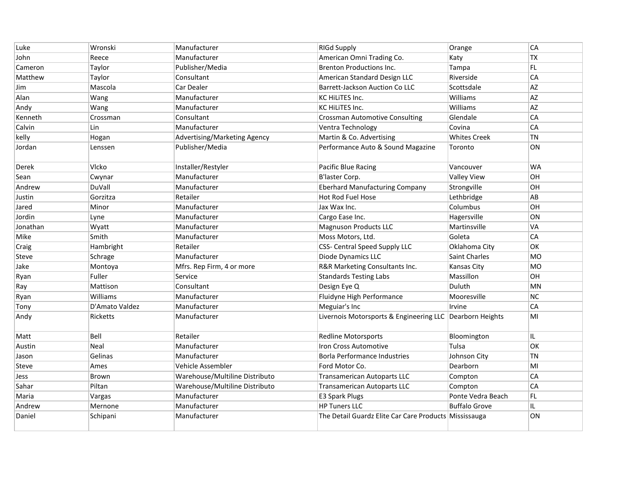| Luke     | Wronski         | Manufacturer                   | <b>RIGd Supply</b>                                       | Orange               | CA             |
|----------|-----------------|--------------------------------|----------------------------------------------------------|----------------------|----------------|
| John     | Reece           | Manufacturer                   | American Omni Trading Co.                                | Katy                 | ТX             |
| Cameron  | Taylor          | Publisher/Media                | <b>Brenton Productions Inc.</b>                          | Tampa                | FL             |
| Matthew  | Taylor          | Consultant                     | American Standard Design LLC                             | Riverside            | CA             |
| Jim      | Mascola         | Car Dealer                     | <b>Barrett-Jackson Auction Co LLC</b>                    | Scottsdale           | AZ             |
| Alan     | Wang            | Manufacturer                   | <b>KC HILITES Inc.</b>                                   | Williams             | AZ             |
| Andy     | Wang            | Manufacturer                   | KC HiLiTES Inc.                                          | Williams             | AZ             |
| Kenneth  | Crossman        | Consultant                     | <b>Crossman Automotive Consulting</b>                    | Glendale             | CA             |
| Calvin   | Lin             | Manufacturer                   | Ventra Technology                                        | Covina               | CA             |
| kelly    | Hogan           | Advertising/Marketing Agency   | Martin & Co. Advertising                                 | <b>Whites Creek</b>  | <b>TN</b>      |
| Jordan   | Lenssen         | Publisher/Media                | Performance Auto & Sound Magazine                        | Toronto              | ON             |
| Derek    | Vlcko           | Installer/Restyler             | Pacific Blue Racing                                      | Vancouver            | WA             |
| Sean     | Cwynar          | Manufacturer                   | B'laster Corp.                                           | <b>Valley View</b>   | OH             |
| Andrew   | DuVall          | Manufacturer                   | <b>Eberhard Manufacturing Company</b>                    | Strongville          | OH             |
| Justin   | Gorzitza        | Retailer                       | Hot Rod Fuel Hose                                        | Lethbridge           | AB             |
| Jared    | Minor           | Manufacturer                   | Jax Wax Inc.                                             | Columbus             | OH             |
| Jordin   | Lyne            | Manufacturer                   | Cargo Ease Inc.                                          | Hagersville          | ON             |
| Jonathan | Wyatt           | Manufacturer                   | <b>Magnuson Products LLC</b>                             | Martinsville         | VA             |
| Mike     | Smith           | Manufacturer                   | Moss Motors, Ltd.                                        | Goleta               | CA             |
| Craig    | Hambright       | Retailer                       | CSS- Central Speed Supply LLC                            | Oklahoma City        | ОK             |
| Steve    | Schrage         | Manufacturer                   | Diode Dynamics LLC                                       | <b>Saint Charles</b> | <b>MO</b>      |
| Jake     | Montoya         | Mfrs. Rep Firm, 4 or more      | R&R Marketing Consultants Inc.                           | Kansas City          | M <sub>O</sub> |
| Ryan     | Fuller          | Service                        | <b>Standards Testing Labs</b>                            | Massillon            | OН             |
| Ray      | Mattison        | Consultant                     | Design Eye Q                                             | Duluth               | MN             |
| Ryan     | Williams        | Manufacturer                   | Fluidyne High Performance                                | Mooresville          | <b>NC</b>      |
| Tony     | D'Amato Valdez  | Manufacturer                   | Meguiar's Inc                                            | Irvine               | CA             |
| Andy     | <b>Ricketts</b> | Manufacturer                   | Livernois Motorsports & Engineering LLC Dearborn Heights |                      | MI             |
| Matt     | Bell            | Retailer                       | <b>Redline Motorsports</b>                               | Bloomington          | IL.            |
| Austin   | Neal            | Manufacturer                   | <b>Iron Cross Automotive</b>                             | Tulsa                | OK             |
| Jason    | Gelinas         | Manufacturer                   | <b>Borla Performance Industries</b>                      | Johnson City         | <b>TN</b>      |
| Steve    | Ames            | Vehicle Assembler              | Ford Motor Co.                                           | Dearborn             | MI             |
| Jess     | <b>Brown</b>    | Warehouse/Multiline Distributo | Transamerican Autoparts LLC                              | Compton              | CA             |
| Sahar    | Piltan          | Warehouse/Multiline Distributo | <b>Transamerican Autoparts LLC</b>                       | Compton              | CA             |
| Maria    | Vargas          | Manufacturer                   | <b>E3 Spark Plugs</b>                                    | Ponte Vedra Beach    | FL             |
| Andrew   | Mernone         | Manufacturer                   | <b>HP Tuners LLC</b>                                     | <b>Buffalo Grove</b> | IL.            |
| Daniel   | Schipani        | Manufacturer                   | The Detail Guardz Elite Car Care Products Mississauga    |                      | ON             |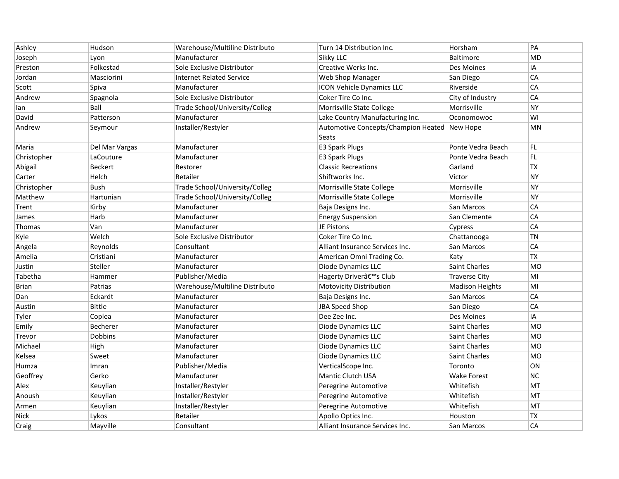| Ashley      | Hudson          | Warehouse/Multiline Distributo  | Turn 14 Distribution Inc.                    | Horsham                | PA        |
|-------------|-----------------|---------------------------------|----------------------------------------------|------------------------|-----------|
| Joseph      | Lyon            | Manufacturer                    | Sikky LLC                                    | <b>Baltimore</b>       | <b>MD</b> |
| Preston     | Folkestad       | Sole Exclusive Distributor      | Creative Werks Inc.                          | Des Moines             | IA        |
| Jordan      | Masciorini      | <b>Internet Related Service</b> | Web Shop Manager                             | San Diego              | CA        |
| Scott       | Spiva           | Manufacturer                    | ICON Vehicle Dynamics LLC                    | Riverside              | CA        |
| Andrew      | Spagnola        | Sole Exclusive Distributor      | Coker Tire Co Inc.                           | City of Industry       | CA        |
| lan         | Ball            | Trade School/University/Colleg  | Morrisville State College                    | Morrisville            | <b>NY</b> |
| David       | Patterson       | Manufacturer                    | Lake Country Manufacturing Inc.              | Oconomowoc             | WI        |
| Andrew      | Seymour         | Installer/Restyler              | Automotive Concepts/Champion Heated<br>Seats | New Hope               | MN        |
| Maria       | Del Mar Vargas  | Manufacturer                    | <b>E3 Spark Plugs</b>                        | Ponte Vedra Beach      | FL.       |
| Christopher | LaCouture       | Manufacturer                    | <b>E3 Spark Plugs</b>                        | Ponte Vedra Beach      | FL.       |
| Abigail     | <b>Beckert</b>  | Restorer                        | <b>Classic Recreations</b>                   | Garland                | <b>TX</b> |
| Carter      | Helch           | Retailer                        | Shiftworks Inc.                              | Victor                 | <b>NY</b> |
| Christopher | Bush            | Trade School/University/Colleg  | Morrisville State College                    | Morrisville            | <b>NY</b> |
| Matthew     | Hartunian       | Trade School/University/Colleg  | Morrisville State College                    | Morrisville            | <b>NY</b> |
| Trent       | Kirby           | Manufacturer                    | Baja Designs Inc.                            | San Marcos             | CA        |
| James       | Harb            | Manufacturer                    | <b>Energy Suspension</b>                     | San Clemente           | CA        |
| Thomas      | Van             | Manufacturer                    | JE Pistons                                   | Cypress                | CA        |
| Kyle        | Welch           | Sole Exclusive Distributor      | Coker Tire Co Inc.                           | Chattanooga            | <b>TN</b> |
| Angela      | Reynolds        | Consultant                      | Alliant Insurance Services Inc.              | San Marcos             | CA        |
| Amelia      | Cristiani       | Manufacturer                    | American Omni Trading Co.                    | Katy                   | <b>TX</b> |
| Justin      | Steller         | Manufacturer                    | Diode Dynamics LLC                           | Saint Charles          | <b>MO</b> |
| Tabetha     | Hammer          | Publisher/Media                 | Hagerty Driver's Club                        | <b>Traverse City</b>   | MI        |
| Brian       | Patrias         | Warehouse/Multiline Distributo  | Motovicity Distribution                      | <b>Madison Heights</b> | MI        |
| Dan         | Eckardt         | Manufacturer                    | Baja Designs Inc.                            | San Marcos             | CA        |
| Austin      | <b>Bittle</b>   | Manufacturer                    | JBA Speed Shop                               | San Diego              | CA        |
| Tyler       | Coplea          | Manufacturer                    | Dee Zee Inc.                                 | Des Moines             | IA        |
| Emily       | <b>Becherer</b> | Manufacturer                    | Diode Dynamics LLC                           | Saint Charles          | <b>MO</b> |
| Trevor      | <b>Dobbins</b>  | Manufacturer                    | Diode Dynamics LLC                           | <b>Saint Charles</b>   | <b>MO</b> |
| Michael     | High            | Manufacturer                    | Diode Dynamics LLC                           | Saint Charles          | <b>MO</b> |
| Kelsea      | Sweet           | Manufacturer                    | Diode Dynamics LLC                           | Saint Charles          | <b>MO</b> |
| Humza       | Imran           | Publisher/Media                 | VerticalScope Inc.                           | Toronto                | ON        |
| Geoffrey    | Gerko           | Manufacturer                    | Mantic Clutch USA                            | <b>Wake Forest</b>     | <b>NC</b> |
| Alex        | Keuylian        | Installer/Restyler              | Peregrine Automotive                         | Whitefish              | <b>MT</b> |
| Anoush      | Keuylian        | Installer/Restyler              | Peregrine Automotive                         | Whitefish              | <b>MT</b> |
| Armen       | Keuylian        | Installer/Restyler              | Peregrine Automotive                         | Whitefish              | MT        |
| <b>Nick</b> | Lykos           | Retailer                        | Apollo Optics Inc.                           | Houston                | <b>TX</b> |
| Craig       | Mayville        | Consultant                      | Alliant Insurance Services Inc.              | San Marcos             | CA        |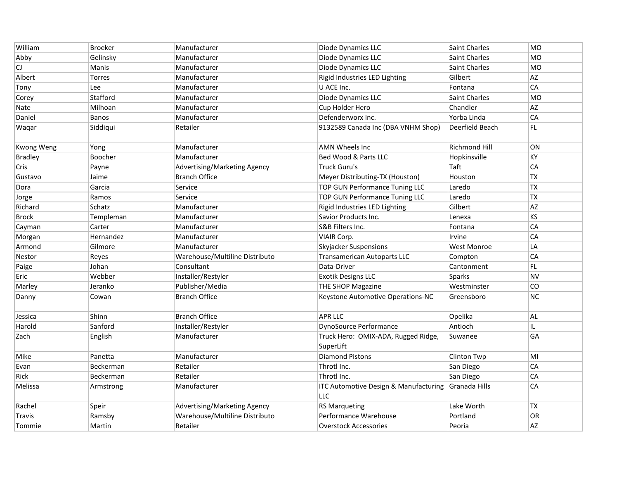| William        | <b>Broeker</b> | Manufacturer                   | Diode Dynamics LLC                                      | Saint Charles        | MO        |
|----------------|----------------|--------------------------------|---------------------------------------------------------|----------------------|-----------|
| Abby           | Gelinsky       | Manufacturer                   | Diode Dynamics LLC                                      | <b>Saint Charles</b> | <b>MO</b> |
| CJ             | Manis          | Manufacturer                   | Diode Dynamics LLC                                      | <b>Saint Charles</b> | MO        |
| Albert         | <b>Torres</b>  | Manufacturer                   | Rigid Industries LED Lighting                           | Gilbert              | <b>AZ</b> |
| Tony           | Lee            | Manufacturer                   | U ACE Inc.                                              | Fontana              | CA        |
| Corey          | Stafford       | Manufacturer                   | Diode Dynamics LLC                                      | <b>Saint Charles</b> | MO        |
| Nate           | Milhoan        | Manufacturer                   | Cup Holder Hero                                         | Chandler             | AZ        |
| Daniel         | Banos          | Manufacturer                   | Defenderworx Inc.                                       | Yorba Linda          | CA        |
| Waqar          | Siddiqui       | Retailer                       | 9132589 Canada Inc (DBA VNHM Shop)                      | Deerfield Beach      | FL.       |
| Kwong Weng     | Yong           | Manufacturer                   | <b>AMN Wheels Inc</b>                                   | <b>Richmond Hill</b> | ON        |
| <b>Bradley</b> | Boocher        | Manufacturer                   | Bed Wood & Parts LLC                                    | Hopkinsville         | КY        |
| Cris           | Payne          | Advertising/Marketing Agency   | <b>Truck Guru's</b>                                     | Taft                 | CA        |
| Gustavo        | Jaime          | <b>Branch Office</b>           | Meyer Distributing-TX (Houston)                         | Houston              | TX        |
| Dora           | Garcia         | Service                        | TOP GUN Performance Tuning LLC                          | Laredo               | <b>TX</b> |
| Jorge          | Ramos          | Service                        | TOP GUN Performance Tuning LLC                          | Laredo               | TX        |
| Richard        | Schatz         | Manufacturer                   | Rigid Industries LED Lighting                           | Gilbert              | AZ        |
| Brock          | Templeman      | Manufacturer                   | Savior Products Inc.                                    | Lenexa               | KS        |
| Cayman         | Carter         | Manufacturer                   | S&B Filters Inc.                                        | Fontana              | <b>CA</b> |
| Morgan         | Hernandez      | Manufacturer                   | VIAIR Corp.                                             | Irvine               | CA        |
| Armond         | Gilmore        | Manufacturer                   | <b>Skyjacker Suspensions</b>                            | <b>West Monroe</b>   | LA        |
| Nestor         | Reyes          | Warehouse/Multiline Distributo | <b>Transamerican Autoparts LLC</b>                      | Compton              | <b>CA</b> |
| Paige          | Johan          | Consultant                     | Data-Driver                                             | Cantonment           | FL.       |
| Eric           | Webber         | Installer/Restyler             | <b>Exotik Designs LLC</b>                               | <b>Sparks</b>        | <b>NV</b> |
| Marley         | Jeranko        | Publisher/Media                | THE SHOP Magazine                                       | Westminster          | <b>CO</b> |
| Danny          | Cowan          | <b>Branch Office</b>           | Keystone Automotive Operations-NC                       | Greensboro           | NC        |
| Jessica        | Shinn          | <b>Branch Office</b>           | <b>APR LLC</b>                                          | Opelika              | AL.       |
| Harold         | Sanford        | Installer/Restyler             | <b>DynoSource Performance</b>                           | Antioch              | IL.       |
| Zach           | English        | Manufacturer                   | Truck Hero: OMIX-ADA, Rugged Ridge,<br>SuperLift        | Suwanee              | GA        |
| Mike           | Panetta        | Manufacturer                   | Diamond Pistons                                         | Clinton Twp          | MI        |
| Evan           | Beckerman      | Retailer                       | Throtl Inc.                                             | San Diego            | CA        |
| Rick           | Beckerman      | Retailer                       | Throtl Inc.                                             | San Diego            | CA        |
| Melissa        | Armstrong      | Manufacturer                   | <b>ITC Automotive Design &amp; Manufacturing</b><br>LLC | Granada Hills        | CA        |
| Rachel         | Speir          | Advertising/Marketing Agency   | <b>RS Marqueting</b>                                    | Lake Worth           | <b>TX</b> |
| Travis         | Ramsby         | Warehouse/Multiline Distributo | Performance Warehouse                                   | Portland             | OR        |
| Tommie         | Martin         | Retailer                       | <b>Overstock Accessories</b>                            | Peoria               | AZ        |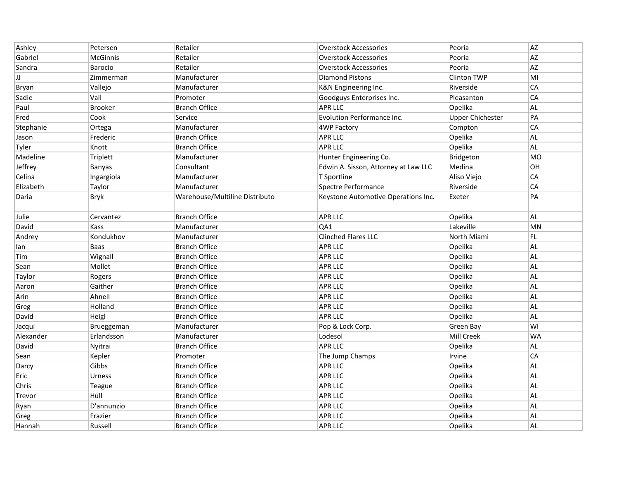| Ashley    | Petersen        | Retailer                       | <b>Overstock Accessories</b>         | Peoria                  | AZ            |
|-----------|-----------------|--------------------------------|--------------------------------------|-------------------------|---------------|
| Gabriel   | <b>McGinnis</b> | Retailer                       | <b>Overstock Accessories</b>         | Peoria                  | AZ            |
| Sandra    | Barocio         | Retailer                       | <b>Overstock Accessories</b>         | Peoria                  | <b>AZ</b>     |
| IJ        | Zimmerman       | Manufacturer                   | <b>Diamond Pistons</b>               | <b>Clinton TWP</b>      | MI            |
| Bryan     | Vallejo         | Manufacturer                   | K&N Engineering Inc.                 | Riverside               | CA            |
| Sadie     | Vail            | Promoter                       | Goodguys Enterprises Inc.            | Pleasanton              | CA            |
| Paul      | <b>Brooker</b>  | <b>Branch Office</b>           | <b>APR LLC</b>                       | Opelika                 | <b>AL</b>     |
| Fred      | Cook            | Service                        | Evolution Performance Inc.           | <b>Upper Chichester</b> | PA            |
| Stephanie | Ortega          | Manufacturer                   | 4WP Factory                          | Compton                 | CA            |
| Jason     | Frederic        | <b>Branch Office</b>           | <b>APR LLC</b>                       | Opelika                 | $\mathsf{AL}$ |
| Tyler     | Knott           | <b>Branch Office</b>           | <b>APR LLC</b>                       | Opelika                 | $\mathsf{AL}$ |
| Madeline  | Triplett        | Manufacturer                   | Hunter Engineering Co.               | Bridgeton               | <b>MO</b>     |
| Jeffrey   | Banyas          | Consultant                     | Edwin A. Sisson, Attorney at Law LLC | Medina                  | OH            |
| Celina    | Ingargiola      | Manufacturer                   | T Sportline                          | Aliso Viejo             | CA            |
| Elizabeth | Taylor          | Manufacturer                   | Spectre Performance                  | Riverside               | CA            |
| Daria     | <b>Bryk</b>     | Warehouse/Multiline Distributo | Keystone Automotive Operations Inc.  | Exeter                  | PA            |
| Julie     | Cervantez       | <b>Branch Office</b>           | <b>APR LLC</b>                       | Opelika                 | <b>AL</b>     |
| David     | Kass            | Manufacturer                   | QA1                                  | Lakeville               | MN            |
| Andrey    | Kondukhov       | Manufacturer                   | Clinched Flares LLC                  | North Miami             | FL            |
| lan       | Baas            | <b>Branch Office</b>           | <b>APR LLC</b>                       | Opelika                 | <b>AL</b>     |
| Tim       | Wignall         | <b>Branch Office</b>           | <b>APR LLC</b>                       | Opelika                 | $\mathsf{AL}$ |
| Sean      | Mollet          | Branch Office                  | <b>APR LLC</b>                       | Opelika                 | AL.           |
| Taylor    | Rogers          | <b>Branch Office</b>           | <b>APR LLC</b>                       | Opelika                 | <b>AL</b>     |
| Aaron     | Gaither         | <b>Branch Office</b>           | <b>APR LLC</b>                       | Opelika                 | AL            |
| Arin      | Ahnell          | <b>Branch Office</b>           | <b>APR LLC</b>                       | Opelika                 | $\mathsf{AL}$ |
| Greg      | Holland         | <b>Branch Office</b>           | <b>APR LLC</b>                       | Opelika                 | AL            |
| David     | Heigl           | <b>Branch Office</b>           | <b>APR LLC</b>                       | Opelika                 | <b>AL</b>     |
| Jacqui    | Brueggeman      | Manufacturer                   | Pop & Lock Corp.                     | Green Bay               | WI            |
| Alexander | Erlandsson      | Manufacturer                   | Lodesol                              | Mill Creek              | WA            |
| David     | Nyitrai         | <b>Branch Office</b>           | <b>APR LLC</b>                       | Opelika                 | AL            |
| Sean      | Kepler          | Promoter                       | The Jump Champs                      | Irvine                  | CA            |
| Darcy     | Gibbs           | <b>Branch Office</b>           | <b>APR LLC</b>                       | Opelika                 | <b>AL</b>     |
| Eric      | Urness          | <b>Branch Office</b>           | <b>APR LLC</b>                       | Opelika                 | $\mathsf{AL}$ |
| Chris     | Teague          | <b>Branch Office</b>           | <b>APR LLC</b>                       | Opelika                 | <b>AL</b>     |
| Trevor    | Hull            | <b>Branch Office</b>           | <b>APR LLC</b>                       | Opelika                 | <b>AL</b>     |
| Ryan      | D'annunzio      | <b>Branch Office</b>           | <b>APR LLC</b>                       | Opelika                 | AL            |
| Greg      | Frazier         | <b>Branch Office</b>           | <b>APR LLC</b>                       | Opelika                 | AL            |
| Hannah    | Russell         | <b>Branch Office</b>           | <b>APR LLC</b>                       | Opelika                 | <b>AL</b>     |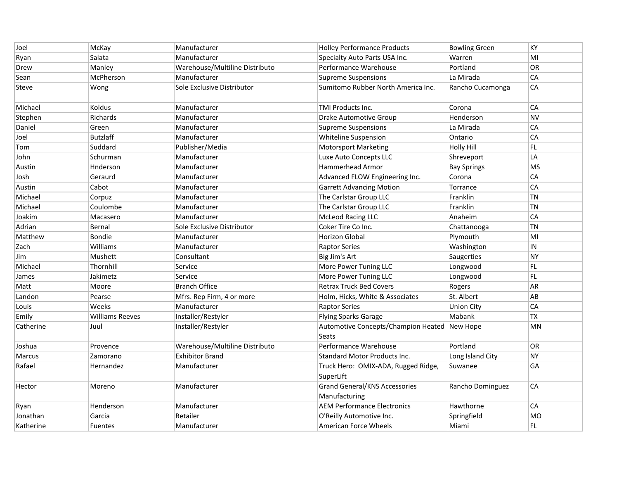| Joel      | McKay                  | Manufacturer                   | <b>Holley Performance Products</b>                           | <b>Bowling Green</b> | KY        |
|-----------|------------------------|--------------------------------|--------------------------------------------------------------|----------------------|-----------|
| Ryan      | Salata                 | Manufacturer                   | Specialty Auto Parts USA Inc.                                | Warren               | MI        |
| Drew      | Manley                 | Warehouse/Multiline Distributo | Performance Warehouse                                        | Portland             | OR        |
| Sean      | McPherson              | Manufacturer                   | Supreme Suspensions                                          | La Mirada            | CA        |
| Steve     | Wong                   | Sole Exclusive Distributor     | Sumitomo Rubber North America Inc.                           | Rancho Cucamonga     | CA        |
| Michael   | Koldus                 | Manufacturer                   | <b>TMI Products Inc.</b>                                     | Corona               | CA        |
| Stephen   | Richards               | Manufacturer                   | Drake Automotive Group                                       | Henderson            | <b>NV</b> |
| Daniel    | Green                  | Manufacturer                   | Supreme Suspensions                                          | La Mirada            | CA        |
| Joel      | <b>Butzlaff</b>        | Manufacturer                   | Whiteline Suspension                                         | Ontario              | CA        |
| Tom       | Suddard                | Publisher/Media                | <b>Motorsport Marketing</b>                                  | <b>Holly Hill</b>    | FL        |
| John      | Schurman               | Manufacturer                   | Luxe Auto Concepts LLC                                       | Shreveport           | LA        |
| Austin    | Hnderson               | Manufacturer                   | Hammerhead Armor                                             | <b>Bay Springs</b>   | <b>MS</b> |
| Josh      | Geraurd                | Manufacturer                   | Advanced FLOW Engineering Inc.                               | Corona               | CA        |
| Austin    | Cabot                  | Manufacturer                   | <b>Garrett Advancing Motion</b>                              | Torrance             | CA        |
| Michael   | Corpuz                 | Manufacturer                   | The Carlstar Group LLC                                       | Franklin             | <b>TN</b> |
| Michael   | Coulombe               | Manufacturer                   | The Carlstar Group LLC                                       | Franklin             | TN        |
| Joakim    | Macasero               | Manufacturer                   | McLeod Racing LLC                                            | Anaheim              | CA        |
| Adrian    | Bernal                 | Sole Exclusive Distributor     | Coker Tire Co Inc.                                           | Chattanooga          | <b>TN</b> |
| Matthew   | Bondie                 | Manufacturer                   | <b>Horizon Global</b>                                        | Plymouth             | MI        |
| Zach      | Williams               | Manufacturer                   | <b>Raptor Series</b>                                         | Washington           | IN        |
| Jim       | Mushett                | Consultant                     | Big Jim's Art                                                | Saugerties           | <b>NY</b> |
| Michael   | Thornhill              | Service                        | More Power Tuning LLC                                        | Longwood             | FL.       |
| James     | Jakimetz               | Service                        | More Power Tuning LLC                                        | Longwood             | FL        |
| Matt      | Moore                  | <b>Branch Office</b>           | <b>Retrax Truck Bed Covers</b>                               | Rogers               | AR        |
| Landon    | Pearse                 | Mfrs. Rep Firm, 4 or more      | Holm, Hicks, White & Associates                              | St. Albert           | AB        |
| Louis     | Weeks                  | Manufacturer                   | <b>Raptor Series</b>                                         | <b>Union City</b>    | CA        |
| Emily     | <b>Williams Reeves</b> | Installer/Restyler             | <b>Flying Sparks Garage</b>                                  | Mabank               | <b>TX</b> |
| Catherine | Juul                   | Installer/Restyler             | Automotive Concepts/Champion Heated New Hope<br><b>Seats</b> |                      | MN        |
| Joshua    | Provence               | Warehouse/Multiline Distributo | Performance Warehouse                                        | Portland             | <b>OR</b> |
| Marcus    | Zamorano               | <b>Exhibitor Brand</b>         | Standard Motor Products Inc.                                 | Long Island City     | <b>NY</b> |
| Rafael    | Hernandez              | Manufacturer                   | Truck Hero: OMIX-ADA, Rugged Ridge,<br>SuperLift             | Suwanee              | GA        |
| Hector    | Moreno                 | Manufacturer                   | <b>Grand General/KNS Accessories</b><br>Manufacturing        | Rancho Dominguez     | CA        |
| Ryan      | Henderson              | Manufacturer                   | <b>AEM Performance Electronics</b>                           | Hawthorne            | CA        |
| Jonathan  | Garcia                 | Retailer                       | O'Reilly Automotive Inc.                                     | Springfield          | <b>MO</b> |
| Katherine | <b>Fuentes</b>         | Manufacturer                   | American Force Wheels                                        | Miami                | FL        |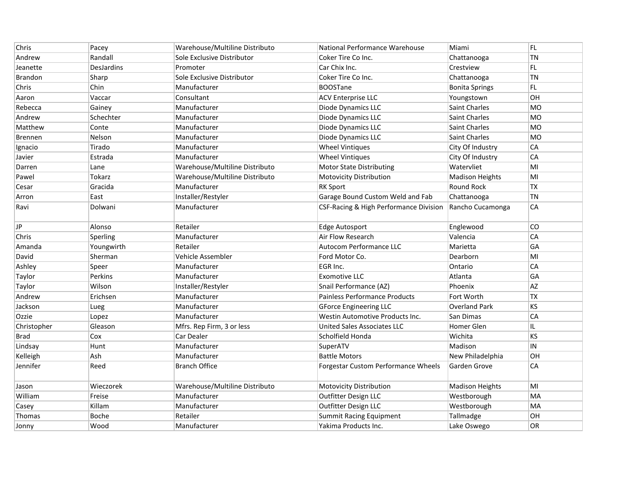| Chris          | Pacey          | Warehouse/Multiline Distributo | National Performance Warehouse         | Miami                  | FL.       |
|----------------|----------------|--------------------------------|----------------------------------------|------------------------|-----------|
| Andrew         | Randall        | Sole Exclusive Distributor     | Coker Tire Co Inc.                     | Chattanooga            | TN        |
| Jeanette       | DesJardins     | Promoter                       | Car Chix Inc.                          | Crestview              | FL        |
| <b>Brandon</b> | Sharp          | Sole Exclusive Distributor     | Coker Tire Co Inc.                     | Chattanooga            | <b>TN</b> |
| Chris          | Chin           | Manufacturer                   | <b>BOOSTane</b>                        | <b>Bonita Springs</b>  | FL.       |
| Aaron          | Vaccar         | Consultant                     | <b>ACV Enterprise LLC</b>              | Youngstown             | OH        |
| Rebecca        | Gainey         | Manufacturer                   | Diode Dynamics LLC                     | <b>Saint Charles</b>   | <b>MO</b> |
| Andrew         | Schechter      | Manufacturer                   | Diode Dynamics LLC                     | <b>Saint Charles</b>   | MO        |
| Matthew        | Conte          | Manufacturer                   | Diode Dynamics LLC                     | Saint Charles          | MO        |
| <b>Brennen</b> | Nelson         | Manufacturer                   | Diode Dynamics LLC                     | <b>Saint Charles</b>   | <b>MO</b> |
| Ignacio        | Tirado         | Manufacturer                   | <b>Wheel Vintiques</b>                 | City Of Industry       | CA        |
| Javier         | Estrada        | Manufacturer                   | <b>Wheel Vintiques</b>                 | City Of Industry       | CA        |
| Darren         | Lane           | Warehouse/Multiline Distributo | <b>Motor State Distributing</b>        | Watervliet             | MI        |
| Pawel          | Tokarz         | Warehouse/Multiline Distributo | <b>Motovicity Distribution</b>         | <b>Madison Heights</b> | MI        |
| Cesar          | Gracida        | Manufacturer                   | <b>RK Sport</b>                        | Round Rock             | <b>TX</b> |
| Arron          | East           | Installer/Restyler             | Garage Bound Custom Weld and Fab       | Chattanooga            | <b>TN</b> |
| Ravi           | Dolwani        | Manufacturer                   | CSF-Racing & High Performance Division | Rancho Cucamonga       | CA        |
| JP             | Alonso         | Retailer                       | <b>Edge Autosport</b>                  | Englewood              | CO        |
| Chris          | Sperling       | Manufacturer                   | Air Flow Research                      | Valencia               | CA        |
| Amanda         | Youngwirth     | Retailer                       | Autocom Performance LLC                | Marietta               | GA        |
| David          | Sherman        | Vehicle Assembler              | Ford Motor Co.                         | Dearborn               | MI        |
| Ashley         | Speer          | Manufacturer                   | EGR Inc.                               | Ontario                | CA        |
| Taylor         | <b>Perkins</b> | Manufacturer                   | <b>Exomotive LLC</b>                   | Atlanta                | GA        |
| Taylor         | Wilson         | Installer/Restyler             | Snail Performance (AZ)                 | Phoenix                | AZ        |
| Andrew         | Erichsen       | Manufacturer                   | Painless Performance Products          | Fort Worth             | <b>TX</b> |
| Jackson        | Lueg           | Manufacturer                   | <b>GForce Engineering LLC</b>          | <b>Overland Park</b>   | KS        |
| Ozzie          | Lopez          | Manufacturer                   | Westin Automotive Products Inc.        | San Dimas              | CA        |
| Christopher    | Gleason        | Mfrs. Rep Firm, 3 or less      | <b>United Sales Associates LLC</b>     | <b>Homer Glen</b>      | IL.       |
| Brad           | Cox            | Car Dealer                     | Scholfield Honda                       | Wichita                | <b>KS</b> |
| Lindsay        | Hunt           | Manufacturer                   | SuperATV                               | Madison                | $\sf IN$  |
| Kelleigh       | Ash            | Manufacturer                   | <b>Battle Motors</b>                   | New Philadelphia       | OH        |
| Jennifer       | Reed           | <b>Branch Office</b>           | Forgestar Custom Performance Wheels    | Garden Grove           | CA        |
| Jason          | Wieczorek      | Warehouse/Multiline Distributo | <b>Motovicity Distribution</b>         | <b>Madison Heights</b> | MI        |
| William        | Freise         | Manufacturer                   | Outfitter Design LLC                   | Westborough            | MA        |
| Casey          | Killam         | Manufacturer                   | Outfitter Design LLC                   | Westborough            | MA        |
| Thomas         | Boche          | Retailer                       | <b>Summit Racing Equipment</b>         | Tallmadge              | OH        |
| Jonny          | Wood           | Manufacturer                   | Yakima Products Inc.                   | Lake Oswego            | OR        |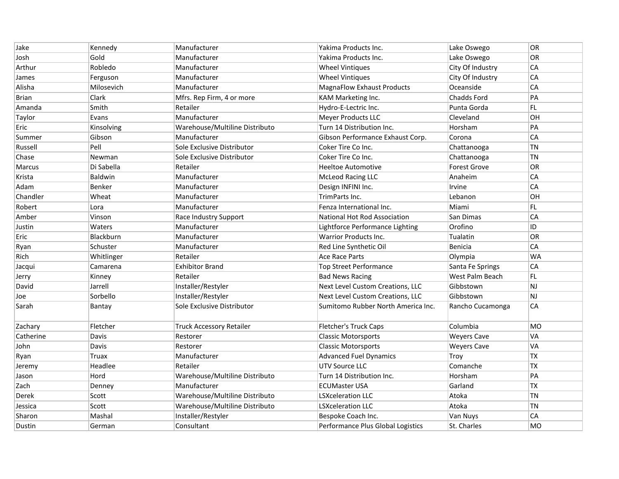| Jake         | Kennedy    | Manufacturer                    | Yakima Products Inc.               | Lake Oswego         | <b>OR</b> |
|--------------|------------|---------------------------------|------------------------------------|---------------------|-----------|
| Josh         | Gold       | Manufacturer                    | Yakima Products Inc.               | Lake Oswego         | OR        |
| Arthur       | Robledo    | Manufacturer                    | <b>Wheel Vintiques</b>             | City Of Industry    | CA        |
| James        | Ferguson   | Manufacturer                    | <b>Wheel Vintiques</b>             | City Of Industry    | CA        |
| Alisha       | Milosevich | Manufacturer                    | <b>MagnaFlow Exhaust Products</b>  | Oceanside           | CA        |
| <b>Brian</b> | Clark      | Mfrs. Rep Firm, 4 or more       | KAM Marketing Inc.                 | <b>Chadds Ford</b>  | PA        |
| Amanda       | Smith      | Retailer                        | Hydro-E-Lectric Inc.               | Punta Gorda         | FL        |
| Taylor       | Evans      | Manufacturer                    | <b>Meyer Products LLC</b>          | Cleveland           | OН        |
| Eric         | Kinsolving | Warehouse/Multiline Distributo  | Turn 14 Distribution Inc.          | Horsham             | PA        |
| Summer       | Gibson     | Manufacturer                    | Gibson Performance Exhaust Corp.   | Corona              | CA        |
| Russell      | Pell       | Sole Exclusive Distributor      | Coker Tire Co Inc.                 | Chattanooga         | <b>TN</b> |
| Chase        | Newman     | Sole Exclusive Distributor      | Coker Tire Co Inc.                 | Chattanooga         | <b>TN</b> |
| Marcus       | Di Sabella | Retailer                        | <b>Heeltoe Automotive</b>          | <b>Forest Grove</b> | OR        |
| Krista       | Baldwin    | Manufacturer                    | <b>McLeod Racing LLC</b>           | Anaheim             | CA        |
| Adam         | Benker     | Manufacturer                    | Design INFINI Inc.                 | Irvine              | CA        |
| Chandler     | Wheat      | Manufacturer                    | TrimParts Inc.                     | Lebanon             | OН        |
| Robert       | Lora       | Manufacturer                    | Fenza International Inc.           | Miami               | FL        |
| Amber        | Vinson     | Race Industry Support           | National Hot Rod Association       | San Dimas           | CA        |
| Justin       | Waters     | Manufacturer                    | Lightforce Performance Lighting    | Orofino             | ID        |
| Eric         | Blackburn  | Manufacturer                    | <b>Warrior Products Inc.</b>       | Tualatin            | <b>OR</b> |
| Ryan         | Schuster   | Manufacturer                    | Red Line Synthetic Oil             | Benicia             | CA        |
| Rich         | Whitlinger | Retailer                        | <b>Ace Race Parts</b>              | Olympia             | WA        |
| Jacqui       | Camarena   | <b>Exhibitor Brand</b>          | <b>Top Street Performance</b>      | Santa Fe Springs    | CA        |
| Jerry        | Kinney     | Retailer                        | <b>Bad News Racing</b>             | West Palm Beach     | FL        |
| David        | Jarrell    | Installer/Restyler              | Next Level Custom Creations, LLC   | Gibbstown           | <b>NJ</b> |
| Joe          | Sorbello   | Installer/Restyler              | Next Level Custom Creations, LLC   | Gibbstown           | NJ        |
| Sarah        | Bantay     | Sole Exclusive Distributor      | Sumitomo Rubber North America Inc. | Rancho Cucamonga    | CA        |
| Zachary      | Fletcher   | <b>Truck Accessory Retailer</b> | <b>Fletcher's Truck Caps</b>       | Columbia            | <b>MO</b> |
| Catherine    | Davis      | Restorer                        | <b>Classic Motorsports</b>         | <b>Weyers Cave</b>  | VA        |
| John         | Davis      | Restorer                        | <b>Classic Motorsports</b>         | <b>Weyers Cave</b>  | VA        |
| Ryan         | Truax      | Manufacturer                    | <b>Advanced Fuel Dynamics</b>      | Troy                | ТX        |
| Jeremy       | Headlee    | Retailer                        | <b>UTV Source LLC</b>              | Comanche            | <b>TX</b> |
| Jason        | Hord       | Warehouse/Multiline Distributo  | Turn 14 Distribution Inc.          | Horsham             | PA        |
| Zach         | Denney     | Manufacturer                    | <b>ECUMaster USA</b>               | Garland             | <b>TX</b> |
| Derek        | Scott      | Warehouse/Multiline Distributo  | <b>LSXceleration LLC</b>           | Atoka               | <b>TN</b> |
| Jessica      | Scott      | Warehouse/Multiline Distributo  | <b>LSXceleration LLC</b>           | Atoka               | <b>TN</b> |
| Sharon       | Mashal     | Installer/Restyler              | Bespoke Coach Inc.                 | Van Nuys            | CA        |
| Dustin       | German     | Consultant                      | Performance Plus Global Logistics  | St. Charles         | <b>MO</b> |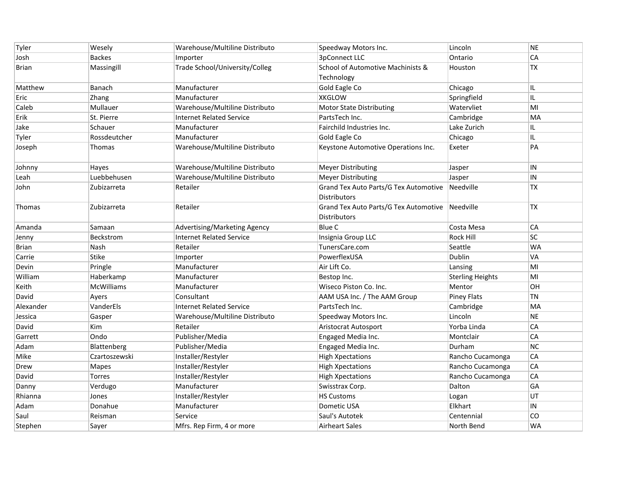| Tyler        | Wesely            | Warehouse/Multiline Distributo  | Speedway Motors Inc.                            | Lincoln                 | <b>NE</b>  |
|--------------|-------------------|---------------------------------|-------------------------------------------------|-------------------------|------------|
| Josh         | <b>Backes</b>     | Importer                        | 3pConnect LLC                                   | Ontario                 | CA         |
| <b>Brian</b> | Massingill        | Trade School/University/Colleg  | School of Automotive Machinists &<br>Technology | Houston                 | ТX         |
| Matthew      | Banach            | Manufacturer                    | Gold Eagle Co                                   | Chicago                 | IL.        |
| Eric         | Zhang             | Manufacturer                    | <b>XKGLOW</b>                                   | Springfield             | IL         |
| Caleb        | Mullauer          | Warehouse/Multiline Distributo  | <b>Motor State Distributing</b>                 | Watervliet              | MI         |
| Erik         | St. Pierre        | <b>Internet Related Service</b> | PartsTech Inc.                                  | Cambridge               | MA         |
| Jake         | Schauer           | Manufacturer                    | Fairchild Industries Inc.                       | Lake Zurich             | IL.        |
| Tyler        | Rossdeutcher      | Manufacturer                    | Gold Eagle Co                                   | Chicago                 | IL         |
| Joseph       | Thomas            | Warehouse/Multiline Distributo  | Keystone Automotive Operations Inc.             | Exeter                  | PA         |
| Johnny       | Hayes             | Warehouse/Multiline Distributo  | <b>Meyer Distributing</b>                       | Jasper                  | IN         |
| Leah         | Luebbehusen       | Warehouse/Multiline Distributo  | <b>Meyer Distributing</b>                       | Jasper                  | $\sf IN$   |
| John         | Zubizarreta       | Retailer                        | Grand Tex Auto Parts/G Tex Automotive Needville |                         | TX         |
|              |                   |                                 | <b>Distributors</b>                             |                         |            |
| Thomas       | Zubizarreta       | Retailer                        | Grand Tex Auto Parts/G Tex Automotive Needville |                         | <b>TX</b>  |
|              |                   |                                 | <b>Distributors</b>                             |                         |            |
| Amanda       | Samaan            | Advertising/Marketing Agency    | <b>Blue C</b>                                   | Costa Mesa              | CA         |
| Jenny        | Beckstrom         | <b>Internet Related Service</b> | Insignia Group LLC                              | <b>Rock Hill</b>        | <b>SC</b>  |
| <b>Brian</b> | Nash              | Retailer                        | TunersCare.com                                  | Seattle                 | WA         |
| Carrie       | <b>Stike</b>      | Importer                        | PowerflexUSA                                    | Dublin                  | VA         |
| Devin        | Pringle           | Manufacturer                    | Air Lift Co.                                    | Lansing                 | MI         |
| William      | Haberkamp         | Manufacturer                    | Bestop Inc.                                     | <b>Sterling Heights</b> | MI         |
| Keith        | <b>McWilliams</b> | Manufacturer                    | Wiseco Piston Co. Inc.                          | Mentor                  | OН         |
| David        | Ayers             | Consultant                      | AAM USA Inc. / The AAM Group                    | <b>Piney Flats</b>      | <b>TN</b>  |
| Alexander    | VanderEls         | <b>Internet Related Service</b> | PartsTech Inc.                                  | Cambridge               | MA         |
| Jessica      | Gasper            | Warehouse/Multiline Distributo  | Speedway Motors Inc.                            | Lincoln                 | <b>NE</b>  |
| David        | Kim               | Retailer                        | Aristocrat Autosport                            | Yorba Linda             | CA         |
| Garrett      | Ondo              | Publisher/Media                 | Engaged Media Inc.                              | Montclair               | CA         |
| Adam         | Blattenberg       | Publisher/Media                 | Engaged Media Inc.                              | Durham                  | <b>NC</b>  |
| Mike         | Czartoszewski     | Installer/Restyler              | <b>High Xpectations</b>                         | Rancho Cucamonga        | CA         |
| Drew         | Mapes             | Installer/Restyler              | <b>High Xpectations</b>                         | Rancho Cucamonga        | CA         |
| David        | Torres            | Installer/Restyler              | <b>High Xpectations</b>                         | Rancho Cucamonga        | CA         |
| Danny        | Verdugo           | Manufacturer                    | Swisstrax Corp.                                 | Dalton                  | GA         |
| Rhianna      | Jones             | Installer/Restyler              | <b>HS Customs</b>                               | Logan                   | UT         |
| Adam         | Donahue           | Manufacturer                    | Dometic USA                                     | Elkhart                 | ${\sf IN}$ |
| Saul         | Reisman           | Service                         | Saul's Autotek                                  | Centennial              | CO         |
| Stephen      | Sayer             | Mfrs. Rep Firm, 4 or more       | <b>Airheart Sales</b>                           | North Bend              | <b>WA</b>  |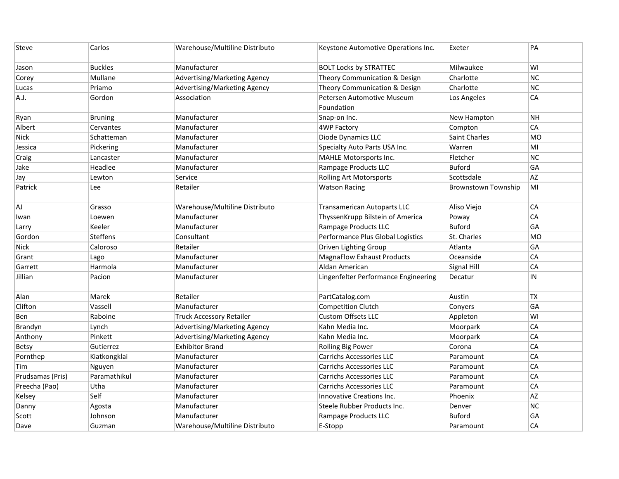| Steve            | Carlos          | Warehouse/Multiline Distributo | Keystone Automotive Operations Inc.      | Exeter                     | PA         |
|------------------|-----------------|--------------------------------|------------------------------------------|----------------------------|------------|
| Jason            | <b>Buckles</b>  | Manufacturer                   | <b>BOLT Locks by STRATTEC</b>            | Milwaukee                  | WI         |
| Corey            | Mullane         | Advertising/Marketing Agency   | Theory Communication & Design            | Charlotte                  | <b>NC</b>  |
| Lucas            | Priamo          | Advertising/Marketing Agency   | Theory Communication & Design            | Charlotte                  | <b>NC</b>  |
| A.J.             | Gordon          | Association                    | Petersen Automotive Museum<br>Foundation | Los Angeles                | CA         |
| Ryan             | <b>Bruning</b>  | Manufacturer                   | Snap-on Inc.                             | New Hampton                | <b>NH</b>  |
| Albert           | Cervantes       | Manufacturer                   | <b>4WP Factory</b>                       | Compton                    | CA         |
| <b>Nick</b>      | Schatteman      | Manufacturer                   | Diode Dynamics LLC                       | <b>Saint Charles</b>       | <b>MO</b>  |
| Jessica          | Pickering       | Manufacturer                   | Specialty Auto Parts USA Inc.            | Warren                     | MI         |
| Craig            | Lancaster       | Manufacturer                   | MAHLE Motorsports Inc.                   | Fletcher                   | <b>NC</b>  |
| Jake             | Headlee         | Manufacturer                   | Rampage Products LLC                     | <b>Buford</b>              | GA         |
| Jay              | Lewton          | Service                        | <b>Rolling Art Motorsports</b>           | Scottsdale                 | AZ         |
| Patrick          | Lee             | Retailer                       | <b>Watson Racing</b>                     | <b>Brownstown Township</b> | MI         |
| AJ               | Grasso          | Warehouse/Multiline Distributo | <b>Transamerican Autoparts LLC</b>       | Aliso Viejo                | CA         |
| Iwan             | Loewen          | Manufacturer                   | ThyssenKrupp Bilstein of America         | Poway                      | CA         |
| Larry            | Keeler          | Manufacturer                   | Rampage Products LLC                     | <b>Buford</b>              | GA         |
| Gordon           | <b>Steffens</b> | Consultant                     | Performance Plus Global Logistics        | St. Charles                | <b>MO</b>  |
| <b>Nick</b>      | Caloroso        | Retailer                       | Driven Lighting Group                    | Atlanta                    | GA         |
| Grant            | Lago            | Manufacturer                   | <b>MagnaFlow Exhaust Products</b>        | Oceanside                  | CA         |
| Garrett          | Harmola         | Manufacturer                   | Aldan American                           | Signal Hill                | CA         |
| Jillian          | Pacion          | Manufacturer                   | Lingenfelter Performance Engineering     | Decatur                    | ${\sf IN}$ |
| Alan             | Marek           | Retailer                       | PartCatalog.com                          | Austin                     | <b>TX</b>  |
| Clifton          | Vassell         | Manufacturer                   | <b>Competition Clutch</b>                | Conyers                    | GA         |
| Ben              | Raboine         | Truck Accessory Retailer       | <b>Custom Offsets LLC</b>                | Appleton                   | WI         |
| Brandyn          | Lynch           | Advertising/Marketing Agency   | Kahn Media Inc.                          | Moorpark                   | CA         |
| Anthony          | Pinkett         | Advertising/Marketing Agency   | Kahn Media Inc.                          | Moorpark                   | CA         |
| Betsy            | Gutierrez       | <b>Exhibitor Brand</b>         | <b>Rolling Big Power</b>                 | Corona                     | CA         |
| Pornthep         | Kiatkongklai    | Manufacturer                   | <b>Carrichs Accessories LLC</b>          | Paramount                  | CA         |
| Tim              | Nguyen          | Manufacturer                   | <b>Carrichs Accessories LLC</b>          | Paramount                  | CA         |
| Prudsamas (Pris) | Paramathikul    | Manufacturer                   | <b>Carrichs Accessories LLC</b>          | Paramount                  | CA         |
| Preecha (Pao)    | Utha            | Manufacturer                   | <b>Carrichs Accessories LLC</b>          | Paramount                  | CA         |
| Kelsey           | Self            | Manufacturer                   | Innovative Creations Inc.                | Phoenix                    | AZ         |
| Danny            | Agosta          | Manufacturer                   | Steele Rubber Products Inc.              | Denver                     | NC         |
| Scott            | Johnson         | Manufacturer                   | Rampage Products LLC                     | <b>Buford</b>              | GA         |
| Dave             | Guzman          | Warehouse/Multiline Distributo | E-Stopp                                  | Paramount                  | CA         |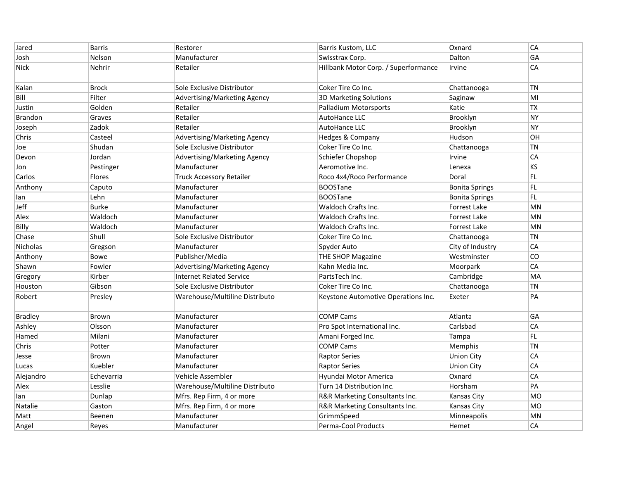| Jared          | <b>Barris</b> | Restorer                        | Barris Kustom, LLC                   | Oxnard                | CA        |
|----------------|---------------|---------------------------------|--------------------------------------|-----------------------|-----------|
| Josh           | Nelson        | Manufacturer                    | Swisstrax Corp.                      | Dalton                | GА        |
| <b>Nick</b>    | Nehrir        | Retailer                        | Hillbank Motor Corp. / Superformance | Irvine                | CA        |
| Kalan          | <b>Brock</b>  | Sole Exclusive Distributor      | Coker Tire Co Inc.                   | Chattanooga           | <b>TN</b> |
| Bill           | Filter        | Advertising/Marketing Agency    | <b>3D Marketing Solutions</b>        | Saginaw               | MI        |
| Justin         | Golden        | Retailer                        | <b>Palladium Motorsports</b>         | Katie                 | <b>TX</b> |
| <b>Brandon</b> | Graves        | Retailer                        | AutoHance LLC                        | Brooklyn              | <b>NY</b> |
| Joseph         | Zadok         | Retailer                        | AutoHance LLC                        | Brooklyn              | <b>NY</b> |
| Chris          | Casteel       | Advertising/Marketing Agency    | Hedges & Company                     | Hudson                | OH        |
| Joe            | Shudan        | Sole Exclusive Distributor      | Coker Tire Co Inc.                   | Chattanooga           | <b>TN</b> |
| Devon          | Jordan        | Advertising/Marketing Agency    | Schiefer Chopshop                    | Irvine                | CA        |
| Jon            | Pestinger     | Manufacturer                    | Aeromotive Inc.                      | Lenexa                | KS        |
| Carlos         | Flores        | <b>Truck Accessory Retailer</b> | Roco 4x4/Roco Performance            | Doral                 | FL        |
| Anthony        | Caputo        | Manufacturer                    | <b>BOOSTane</b>                      | <b>Bonita Springs</b> | FL.       |
| lan            | Lehn          | Manufacturer                    | <b>BOOSTane</b>                      | <b>Bonita Springs</b> | FL        |
| Jeff           | <b>Burke</b>  | Manufacturer                    | <b>Waldoch Crafts Inc.</b>           | <b>Forrest Lake</b>   | <b>MN</b> |
| Alex           | Waldoch       | Manufacturer                    | Waldoch Crafts Inc.                  | <b>Forrest Lake</b>   | <b>MN</b> |
| Billy          | Waldoch       | Manufacturer                    | Waldoch Crafts Inc.                  | Forrest Lake          | <b>MN</b> |
| Chase          | Shull         | Sole Exclusive Distributor      | Coker Tire Co Inc.                   | Chattanooga           | <b>TN</b> |
| Nicholas       | Gregson       | Manufacturer                    | Spyder Auto                          | City of Industry      | CA        |
| Anthony        | Bowe          | Publisher/Media                 | THE SHOP Magazine                    | Westminster           | CO        |
| Shawn          | Fowler        | Advertising/Marketing Agency    | Kahn Media Inc.                      | Moorpark              | CA        |
| Gregory        | Kirber        | <b>Internet Related Service</b> | PartsTech Inc.                       | Cambridge             | MA        |
| Houston        | Gibson        | Sole Exclusive Distributor      | Coker Tire Co Inc.                   | Chattanooga           | <b>TN</b> |
| Robert         | Presley       | Warehouse/Multiline Distributo  | Keystone Automotive Operations Inc.  | Exeter                | PA        |
| <b>Bradley</b> | Brown         | Manufacturer                    | <b>COMP Cams</b>                     | Atlanta               | GA        |
| Ashley         | Olsson        | Manufacturer                    | Pro Spot International Inc.          | Carlsbad              | CA        |
| Hamed          | Milani        | Manufacturer                    | Amani Forged Inc.                    | Tampa                 | FL.       |
| Chris          | Potter        | Manufacturer                    | <b>COMP Cams</b>                     | Memphis               | TN        |
| Jesse          | <b>Brown</b>  | Manufacturer                    | <b>Raptor Series</b>                 | <b>Union City</b>     | CA        |
| Lucas          | Kuebler       | Manufacturer                    | <b>Raptor Series</b>                 | <b>Union City</b>     | CA        |
| Alejandro      | Echevarria    | Vehicle Assembler               | Hyundai Motor America                | Oxnard                | CA        |
| Alex           | Lesslie       | Warehouse/Multiline Distributo  | Turn 14 Distribution Inc.            | Horsham               | PA        |
| lan            | Dunlap        | Mfrs. Rep Firm, 4 or more       | R&R Marketing Consultants Inc.       | <b>Kansas City</b>    | <b>MO</b> |
| Natalie        | Gaston        | Mfrs. Rep Firm, 4 or more       | R&R Marketing Consultants Inc.       | <b>Kansas City</b>    | MO        |
| Matt           | Beenen        | Manufacturer                    | GrimmSpeed                           | Minneapolis           | MN        |
| Angel          | Reyes         | Manufacturer                    | Perma-Cool Products                  | Hemet                 | CA        |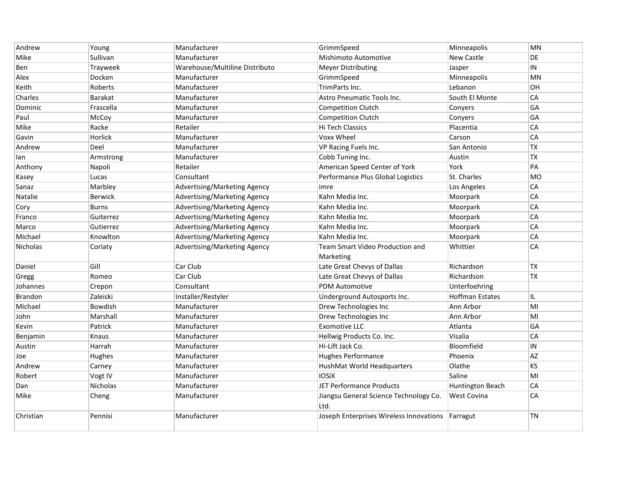| Andrew         | Young          | Manufacturer                   | GrimmSpeed                                     | Minneapolis            | MN        |
|----------------|----------------|--------------------------------|------------------------------------------------|------------------------|-----------|
| Mike           | Sullivan       | Manufacturer                   | Mishimoto Automotive                           | New Castle             | DE        |
| Ben            | Trayweek       | Warehouse/Multiline Distributo | <b>Meyer Distributing</b>                      | Jasper                 | IN        |
| Alex           | Docken         | Manufacturer                   | GrimmSpeed                                     | Minneapolis            | MN        |
| Keith          | Roberts        | Manufacturer                   | TrimParts Inc.                                 | Lebanon                | OH        |
| Charles        | Barakat        | Manufacturer                   | Astro Pneumatic Tools Inc.                     | South El Monte         | CA        |
| Dominic        | Frascella      | Manufacturer                   | <b>Competition Clutch</b>                      | Conyers                | GA        |
| Paul           | McCoy          | Manufacturer                   | <b>Competition Clutch</b>                      | Conyers                | GA        |
| Mike           | Racke          | Retailer                       | Hi Tech Classics                               | Placentia              | CA        |
| Gavin          | Horlick        | Manufacturer                   | Voxx Wheel                                     | Carson                 | CA        |
| Andrew         | Deel           | Manufacturer                   | VP Racing Fuels Inc.                           | San Antonio            | <b>TX</b> |
| lan            | Armstrong      | Manufacturer                   | Cobb Tuning Inc.                               | Austin                 | <b>TX</b> |
| Anthony        | Napoli         | Retailer                       | American Speed Center of York                  | York                   | PA        |
| Kasey          | Lucas          | Consultant                     | Performance Plus Global Logistics              | St. Charles            | <b>MO</b> |
| Sanaz          | Marbley        | Advertising/Marketing Agency   | imre                                           | Los Angeles            | CA        |
| Natalie        | <b>Berwick</b> | Advertising/Marketing Agency   | Kahn Media Inc.                                | Moorpark               | CA        |
| Cory           | <b>Burns</b>   | Advertising/Marketing Agency   | Kahn Media Inc.                                | Moorpark               | CA        |
| Franco         | Guiterrez      | Advertising/Marketing Agency   | Kahn Media Inc.                                | Moorpark               | CA        |
| Marco          | Gutierrez      | Advertising/Marketing Agency   | Kahn Media Inc.                                | Moorpark               | CA        |
| Michael        | Knowlton       | Advertising/Marketing Agency   | Kahn Media Inc.                                | Moorpark               | CA        |
| Nicholas       | Coriaty        | Advertising/Marketing Agency   | Team Smart Video Production and                | Whittier               | CA        |
|                |                |                                | Marketing                                      |                        |           |
| Daniel         | Gill           | Car Club                       | Late Great Chevys of Dallas                    | Richardson             | <b>TX</b> |
| Gregg          | Romeo          | Car Club                       | Late Great Chevys of Dallas                    | Richardson             | TX        |
| Johannes       | Crepon         | Consultant                     | <b>PDM Automotive</b>                          | Unterfoehring          |           |
| <b>Brandon</b> | Zaleiski       | Installer/Restyler             | Underground Autosports Inc.                    | <b>Hoffman Estates</b> | IL        |
| Michael        | Bowdish        | Manufacturer                   | Drew Technologies Inc                          | Ann Arbor              | MI        |
| John           | Marshall       | Manufacturer                   | Drew Technologies Inc                          | Ann Arbor              | MI        |
| Kevin          | Patrick        | Manufacturer                   | <b>Exomotive LLC</b>                           | Atlanta                | GA        |
| Benjamin       | Knaus          | Manufacturer                   | Hellwig Products Co. Inc.                      | Visalia                | CA        |
| Austin         | Harrah         | Manufacturer                   | Hi-Lift Jack Co.                               | Bloomfield             | IN        |
| Joe            | Hughes         | Manufacturer                   | <b>Hughes Performance</b>                      | Phoenix                | AZ        |
| Andrew         | Carney         | Manufacturer                   | HushMat World Headquarters                     | Olathe                 | KS        |
| Robert         | Vogt IV        | Manufacturer                   | <b>IOSiX</b>                                   | Saline                 | MI        |
| Dan            | Nicholas       | Manufacturer                   | <b>JET Performance Products</b>                | Huntington Beach       | CA        |
| Mike           | Cheng          | Manufacturer                   | Jiangsu General Science Technology Co.<br>Ltd. | <b>West Covina</b>     | CA        |
| Christian      | Pennisi        | Manufacturer                   | Joseph Enterprises Wireless Innovations        | Farragut               | TN        |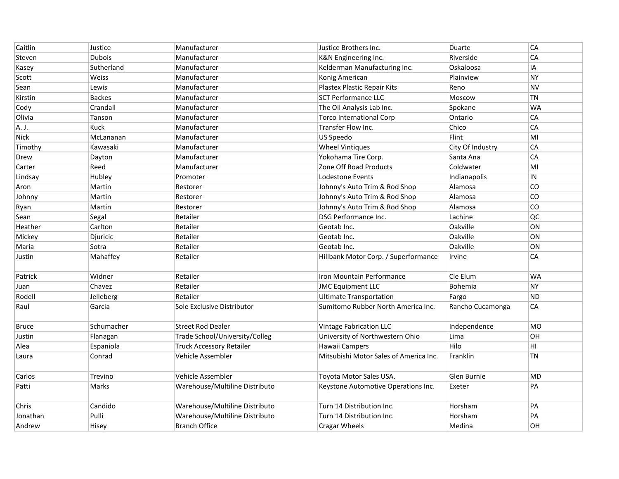| Caitlin  | Justice       | Manufacturer                    | Justice Brothers Inc.                  | Duarte           | CA        |
|----------|---------------|---------------------------------|----------------------------------------|------------------|-----------|
| Steven   | Dubois        | Manufacturer                    | K&N Engineering Inc.                   | Riverside        | CA        |
| Kasey    | Sutherland    | Manufacturer                    | Kelderman Manufacturing Inc.           | Oskaloosa        | IA        |
| Scott    | <b>Weiss</b>  | Manufacturer                    | Konig American                         | Plainview        | <b>NY</b> |
| Sean     | Lewis         | Manufacturer                    | Plastex Plastic Repair Kits            | Reno             | <b>NV</b> |
| Kirstin  | <b>Backes</b> | Manufacturer                    | <b>SCT Performance LLC</b>             | Moscow           | <b>TN</b> |
| Cody     | Crandall      | Manufacturer                    | The Oil Analysis Lab Inc.              | Spokane          | <b>WA</b> |
| Olivia   | Tanson        | Manufacturer                    | <b>Torco International Corp</b>        | Ontario          | CA        |
| A. J.    | Kuck          | Manufacturer                    | Transfer Flow Inc.                     | Chico            | СA        |
| Nick     | McLananan     | Manufacturer                    | US Speedo                              | Flint            | MI        |
| Timothy  | Kawasaki      | Manufacturer                    | <b>Wheel Vintiques</b>                 | City Of Industry | CA        |
| Drew     | Dayton        | Manufacturer                    | Yokohama Tire Corp.                    | Santa Ana        | CA        |
| Carter   | Reed          | Manufacturer                    | Zone Off Road Products                 | Coldwater        | MI        |
| Lindsay  | Hubley        | Promoter                        | Lodestone Events                       | Indianapolis     | IN        |
| Aron     | Martin        | Restorer                        | Johnny's Auto Trim & Rod Shop          | Alamosa          | CO        |
| Johnny   | Martin        | Restorer                        | Johnny's Auto Trim & Rod Shop          | Alamosa          | CO        |
| Ryan     | Martin        | Restorer                        | Johnny's Auto Trim & Rod Shop          | Alamosa          | CO        |
| Sean     | Segal         | Retailer                        | DSG Performance Inc.                   | Lachine          | QC        |
| Heather  | Carlton       | Retailer                        | Geotab Inc.                            | Oakville         | ON        |
| Mickey   | Djuricic      | Retailer                        | Geotab Inc.                            | Oakville         | ON        |
| Maria    | Sotra         | Retailer                        | Geotab Inc.                            | Oakville         | ON        |
| Justin   | Mahaffey      | Retailer                        | Hillbank Motor Corp. / Superformance   | Irvine           | CA        |
| Patrick  | Widner        | Retailer                        | Iron Mountain Performance              | Cle Elum         | <b>WA</b> |
| Juan     | Chavez        | Retailer                        | <b>JMC Equipment LLC</b>               | Bohemia          | <b>NY</b> |
| Rodell   | Jelleberg     | Retailer                        | <b>Ultimate Transportation</b>         | Fargo            | <b>ND</b> |
| Raul     | Garcia        | Sole Exclusive Distributor      | Sumitomo Rubber North America Inc.     | Rancho Cucamonga | CA        |
| Bruce    | Schumacher    | <b>Street Rod Dealer</b>        | <b>Vintage Fabrication LLC</b>         | Independence     | <b>MO</b> |
| Justin   | Flanagan      | Trade School/University/Colleg  | University of Northwestern Ohio        | Lima             | OН        |
| Alea     | Espaniola     | <b>Truck Accessory Retailer</b> | Hawaii Campers                         | Hilo             | HI        |
| Laura    | Conrad        | Vehicle Assembler               | Mitsubishi Motor Sales of America Inc. | Franklin         | ΤN        |
| Carlos   | Trevino       | Vehicle Assembler               | Toyota Motor Sales USA.                | Glen Burnie      | <b>MD</b> |
| Patti    | Marks         | Warehouse/Multiline Distributo  | Keystone Automotive Operations Inc.    | Exeter           | PA        |
| Chris    | Candido       | Warehouse/Multiline Distributo  | Turn 14 Distribution Inc.              | Horsham          | PA        |
| Jonathan | Pulli         | Warehouse/Multiline Distributo  | Turn 14 Distribution Inc.              | Horsham          | PA        |
| Andrew   | Hisey         | <b>Branch Office</b>            | <b>Cragar Wheels</b>                   | Medina           | OН        |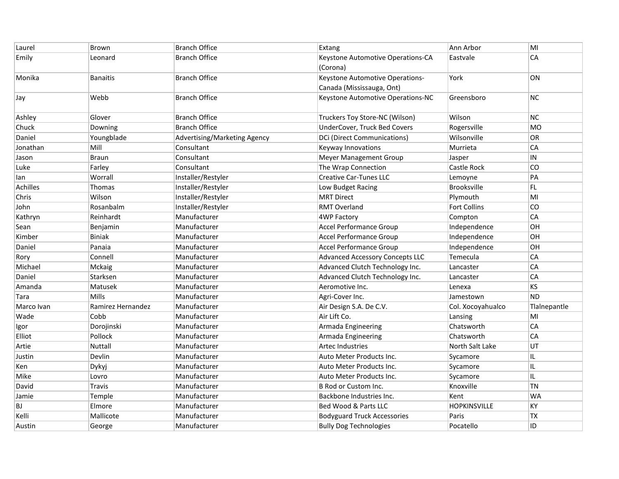| Laurel          | <b>Brown</b>      | <b>Branch Office</b>         | Extang                                 | Ann Arbor           | MI           |
|-----------------|-------------------|------------------------------|----------------------------------------|---------------------|--------------|
| Emily           | Leonard           | <b>Branch Office</b>         | Keystone Automotive Operations-CA      | Eastvale            | CA           |
|                 |                   |                              | (Corona)                               |                     |              |
| Monika          | <b>Banaitis</b>   | <b>Branch Office</b>         | Keystone Automotive Operations-        | York                | ON           |
|                 |                   |                              | Canada (Mississauga, Ont)              |                     |              |
| Jay             | Webb              | <b>Branch Office</b>         | Keystone Automotive Operations-NC      | Greensboro          | NC           |
| Ashley          | Glover            | <b>Branch Office</b>         | Truckers Toy Store-NC (Wilson)         | Wilson              | NC.          |
| Chuck           | Downing           | <b>Branch Office</b>         | UnderCover, Truck Bed Covers           | Rogersville         | <b>MO</b>    |
| Daniel          | Youngblade        | Advertising/Marketing Agency | DCi (Direct Communications)            | Wilsonville         | 0R           |
| Jonathan        | Mill              | Consultant                   | Keyway Innovations                     | Murrieta            | CA           |
| Jason           | <b>Braun</b>      | Consultant                   | <b>Meyer Management Group</b>          | Jasper              | ${\sf IN}$   |
| Luke            | Farley            | Consultant                   | The Wrap Connection                    | Castle Rock         | CO           |
| lan             | Worrall           | Installer/Restyler           | <b>Creative Car-Tunes LLC</b>          | Lemoyne             | PA           |
| <b>Achilles</b> | <b>Thomas</b>     | Installer/Restyler           | Low Budget Racing                      | <b>Brooksville</b>  | FL.          |
| Chris           | Wilson            | Installer/Restyler           | <b>MRT Direct</b>                      | Plymouth            | MI           |
| John            | Rosanbalm         | Installer/Restyler           | <b>RMT Overland</b>                    | Fort Collins        | CO           |
| Kathryn         | Reinhardt         | Manufacturer                 | 4WP Factory                            | Compton             | CA           |
| Sean            | Benjamin          | Manufacturer                 | <b>Accel Performance Group</b>         | Independence        | OН           |
| Kimber          | <b>Biniak</b>     | Manufacturer                 | <b>Accel Performance Group</b>         | Independence        | OН           |
| Daniel          | Panaia            | Manufacturer                 | <b>Accel Performance Group</b>         | Independence        | OН           |
| Rory            | Connell           | Manufacturer                 | <b>Advanced Accessory Concepts LLC</b> | Temecula            | CA           |
| Michael         | Mckaig            | Manufacturer                 | Advanced Clutch Technology Inc.        | Lancaster           | CA           |
| Daniel          | Starksen          | Manufacturer                 | Advanced Clutch Technology Inc.        | Lancaster           | CA           |
| Amanda          | Matusek           | Manufacturer                 | Aeromotive Inc.                        | Lenexa              | KS           |
| Tara            | Mills             | Manufacturer                 | Agri-Cover Inc.                        | Jamestown           | <b>ND</b>    |
| Marco Ivan      | Ramirez Hernandez | Manufacturer                 | Air Design S.A. De C.V.                | Col. Xocoyahualco   | TlaInepantle |
| Wade            | Cobb              | Manufacturer                 | Air Lift Co.                           | Lansing             | MI           |
| Igor            | Dorojinski        | Manufacturer                 | Armada Engineering                     | Chatsworth          | CA           |
| Elliot          | Pollock           | Manufacturer                 | Armada Engineering                     | Chatsworth          | CA           |
| Artie           | Nuttall           | Manufacturer                 | <b>Artec Industries</b>                | North Salt Lake     | UT           |
| Justin          | Devlin            | Manufacturer                 | Auto Meter Products Inc.               | Sycamore            | IL.          |
| Ken             | Dykyj             | Manufacturer                 | Auto Meter Products Inc.               | Sycamore            | IL.          |
| Mike            | Lovro             | Manufacturer                 | Auto Meter Products Inc.               | Sycamore            | IL.          |
| David           | <b>Travis</b>     | Manufacturer                 | B Rod or Custom Inc.                   | Knoxville           | <b>TN</b>    |
| Jamie           | Temple            | Manufacturer                 | Backbone Industries Inc.               | Kent                | <b>WA</b>    |
| <b>BJ</b>       | Elmore            | Manufacturer                 | Bed Wood & Parts LLC                   | <b>HOPKINSVILLE</b> | KY           |
| Kelli           | Mallicote         | Manufacturer                 | <b>Bodyguard Truck Accessories</b>     | Paris               | ТX           |
| Austin          | George            | Manufacturer                 | <b>Bully Dog Technologies</b>          | Pocatello           | ID           |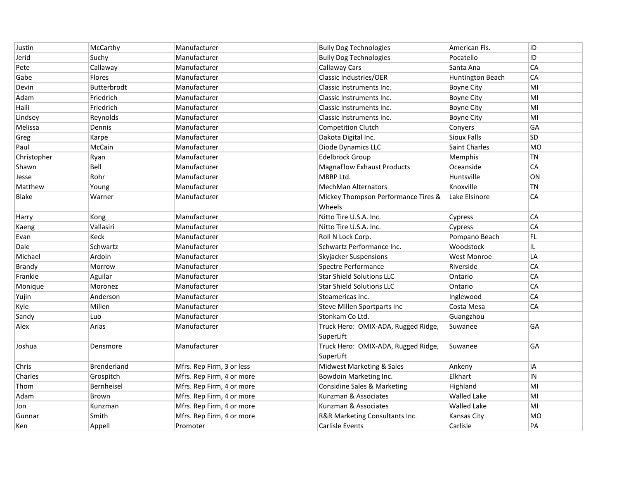| Justin        | McCarthy      | Manufacturer              | <b>Bully Dog Technologies</b>          | American Fls.        | ID         |
|---------------|---------------|---------------------------|----------------------------------------|----------------------|------------|
| Jerid         | Suchy         | Manufacturer              | <b>Bully Dog Technologies</b>          | Pocatello            | ID         |
| Pete          | Callaway      | Manufacturer              | <b>Callaway Cars</b>                   | Santa Ana            | CA         |
| Gabe          | <b>Flores</b> | Manufacturer              | Classic Industries/OER                 | Huntington Beach     | CA         |
| Devin         | Butterbrodt   | Manufacturer              | Classic Instruments Inc.               | <b>Boyne City</b>    | MI         |
| Adam          | Friedrich     | Manufacturer              | Classic Instruments Inc.               | <b>Boyne City</b>    | MI         |
| Haili         | Friedrich     | Manufacturer              | Classic Instruments Inc.               | <b>Boyne City</b>    | MI         |
| Lindsey       | Reynolds      | Manufacturer              | Classic Instruments Inc.               | <b>Boyne City</b>    | MI         |
| Melissa       | Dennis        | Manufacturer              | <b>Competition Clutch</b>              | Conyers              | GA         |
| Greg          | Karpe         | Manufacturer              | Dakota Digital Inc.                    | <b>Sioux Falls</b>   | <b>SD</b>  |
| Paul          | McCain        | Manufacturer              | Diode Dynamics LLC                     | <b>Saint Charles</b> | <b>MO</b>  |
| Christopher   | Ryan          | Manufacturer              | <b>Edelbrock Group</b>                 | Memphis              | <b>TN</b>  |
| Shawn         | Bell          | Manufacturer              | <b>MagnaFlow Exhaust Products</b>      | Oceanside            | CA         |
| Jesse         | Rohr          | Manufacturer              | MBRP Ltd.                              | Huntsville           | ON         |
| Matthew       | Young         | Manufacturer              | <b>MechMan Alternators</b>             | Knoxville            | <b>TN</b>  |
| <b>Blake</b>  | Warner        | Manufacturer              | Mickey Thompson Performance Tires &    | Lake Elsinore        | CA         |
|               |               |                           | Wheels                                 |                      |            |
| Harry         | Kong          | Manufacturer              | Nitto Tire U.S.A. Inc.                 | Cypress              | CA         |
| Kaeng         | Vallasiri     | Manufacturer              | Nitto Tire U.S.A. Inc.                 | Cypress              | CA         |
| Evan          | Keck          | Manufacturer              | Roll N Lock Corp.                      | Pompano Beach        | FL         |
| Dale          | Schwartz      | Manufacturer              | Schwartz Performance Inc.              | Woodstock            | IL         |
| Michael       | Ardoin        | Manufacturer              | <b>Skyjacker Suspensions</b>           | <b>West Monroe</b>   | LA         |
| <b>Brandy</b> | Morrow        | Manufacturer              | Spectre Performance                    | Riverside            | CA         |
| Frankie       | Aguilar       | Manufacturer              | <b>Star Shield Solutions LLC</b>       | Ontario              | CA         |
| Monique       | Moronez       | Manufacturer              | <b>Star Shield Solutions LLC</b>       | Ontario              | CA         |
| Yujin         | Anderson      | Manufacturer              | Steamericas Inc.                       | Inglewood            | CA         |
| Kyle          | Millen        | Manufacturer              | Steve Millen Sportparts Inc            | Costa Mesa           | CA         |
| Sandy         | Luo           | Manufacturer              | Stonkam Co Ltd.                        | Guangzhou            |            |
| Alex          | Arias         | Manufacturer              | Truck Hero: OMIX-ADA, Rugged Ridge,    | Suwanee              | GA         |
|               |               |                           | SuperLift                              |                      |            |
| Joshua        | Densmore      | Manufacturer              | Truck Hero: OMIX-ADA, Rugged Ridge,    | Suwanee              | GA         |
|               |               |                           | SuperLift                              |                      |            |
| Chris         | Brenderland   | Mfrs. Rep Firm, 3 or less | Midwest Marketing & Sales              | Ankeny               | IA         |
| Charles       | Grospitch     | Mfrs. Rep Firm, 4 or more | Bowdoin Marketing Inc.                 | Elkhart              | ${\sf IN}$ |
| Thom          | Bernheisel    | Mfrs. Rep Firm, 4 or more | <b>Considine Sales &amp; Marketing</b> | Highland             | MI         |
| Adam          | Brown         | Mfrs. Rep Firm, 4 or more | Kunzman & Associates                   | <b>Walled Lake</b>   | MI         |
| Jon           | Kunzman       | Mfrs. Rep Firm, 4 or more | Kunzman & Associates                   | <b>Walled Lake</b>   | MI         |
| Gunnar        | Smith         | Mfrs. Rep Firm, 4 or more | R&R Marketing Consultants Inc.         | Kansas City          | <b>MO</b>  |
| Ken           | Appell        | Promoter                  | Carlisle Events                        | Carlisle             | PA         |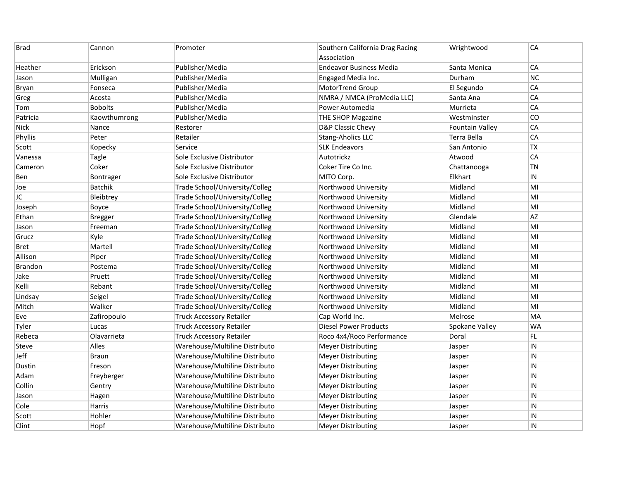| <b>Brad</b>    | Cannon         | Promoter                        | Southern California Drag Racing | Wrightwood             | CA         |
|----------------|----------------|---------------------------------|---------------------------------|------------------------|------------|
|                |                |                                 | Association                     |                        |            |
| Heather        | Erickson       | Publisher/Media                 | <b>Endeavor Business Media</b>  | Santa Monica           | CA         |
| Jason          | Mulligan       | Publisher/Media                 | Engaged Media Inc.              | Durham                 | NC         |
| Bryan          | Fonseca        | Publisher/Media                 | MotorTrend Group                | El Segundo             | CA         |
| Greg           | Acosta         | Publisher/Media                 | NMRA / NMCA (ProMedia LLC)      | Santa Ana              | CA         |
| Tom            | <b>Bobolts</b> | Publisher/Media                 | Power Automedia                 | Murrieta               | CA         |
| Patricia       | Kaowthumrong   | Publisher/Media                 | THE SHOP Magazine               | Westminster            | CO         |
| <b>Nick</b>    | Nance          | Restorer                        | D&P Classic Chevy               | <b>Fountain Valley</b> | CA         |
| Phyllis        | Peter          | Retailer                        | Stang-Aholics LLC               | Terra Bella            | CA         |
| Scott          | Kopecky        | Service                         | <b>SLK Endeavors</b>            | San Antonio            | <b>TX</b>  |
| Vanessa        | <b>Tagle</b>   | Sole Exclusive Distributor      | Autotrickz                      | Atwood                 | CA         |
| Cameron        | Coker          | Sole Exclusive Distributor      | Coker Tire Co Inc.              | Chattanooga            | <b>TN</b>  |
| Ben            | Bontrager      | Sole Exclusive Distributor      | MITO Corp.                      | Elkhart                | IN         |
| Joe            | Batchik        | Trade School/University/Colleg  | Northwood University            | Midland                | MI         |
| JC             | Bleibtrey      | Trade School/University/Colleg  | Northwood University            | Midland                | MI         |
| Joseph         | Boyce          | Trade School/University/Colleg  | Northwood University            | Midland                | MI         |
| Ethan          | <b>Bregger</b> | Trade School/University/Colleg  | Northwood University            | Glendale               | AZ         |
| Jason          | Freeman        | Trade School/University/Colleg  | Northwood University            | Midland                | MI         |
| Grucz          | Kyle           | Trade School/University/Colleg  | Northwood University            | Midland                | MI         |
| <b>Bret</b>    | Martell        | Trade School/University/Colleg  | Northwood University            | Midland                | MI         |
| Allison        | Piper          | Trade School/University/Colleg  | Northwood University            | Midland                | MI         |
| <b>Brandon</b> | Postema        | Trade School/University/Colleg  | Northwood University            | Midland                | MI         |
| Jake           | Pruett         | Trade School/University/Colleg  | Northwood University            | Midland                | MI         |
| Kelli          | Rebant         | Trade School/University/Colleg  | Northwood University            | Midland                | MI         |
| Lindsay        | Seigel         | Trade School/University/Colleg  | Northwood University            | Midland                | MI         |
| Mitch          | Walker         | Trade School/University/Colleg  | Northwood University            | Midland                | MI         |
| Eve            | Zafiropoulo    | <b>Truck Accessory Retailer</b> | Cap World Inc.                  | Melrose                | MA         |
| Tyler          | Lucas          | <b>Truck Accessory Retailer</b> | <b>Diesel Power Products</b>    | Spokane Valley         | <b>WA</b>  |
| Rebeca         | Olavarrieta    | <b>Truck Accessory Retailer</b> | Roco 4x4/Roco Performance       | Doral                  | FL         |
| Steve          | Alles          | Warehouse/Multiline Distributo  | <b>Meyer Distributing</b>       | Jasper                 | $\sf IN$   |
| Jeff           | <b>Braun</b>   | Warehouse/Multiline Distributo  | <b>Meyer Distributing</b>       | Jasper                 | IN         |
| Dustin         | Freson         | Warehouse/Multiline Distributo  | <b>Meyer Distributing</b>       | Jasper                 | IN         |
| Adam           | Freyberger     | Warehouse/Multiline Distributo  | <b>Meyer Distributing</b>       | Jasper                 | ${\sf IN}$ |
| Collin         | Gentry         | Warehouse/Multiline Distributo  | <b>Meyer Distributing</b>       | Jasper                 | $\sf IN$   |
| Jason          | Hagen          | Warehouse/Multiline Distributo  | <b>Meyer Distributing</b>       | Jasper                 | IN         |
| Cole           | Harris         | Warehouse/Multiline Distributo  | <b>Meyer Distributing</b>       | Jasper                 | IN         |
| Scott          | Hohler         | Warehouse/Multiline Distributo  | <b>Meyer Distributing</b>       | Jasper                 | IN         |
| Clint          | Hopf           | Warehouse/Multiline Distributo  | <b>Meyer Distributing</b>       | Jasper                 | IN         |